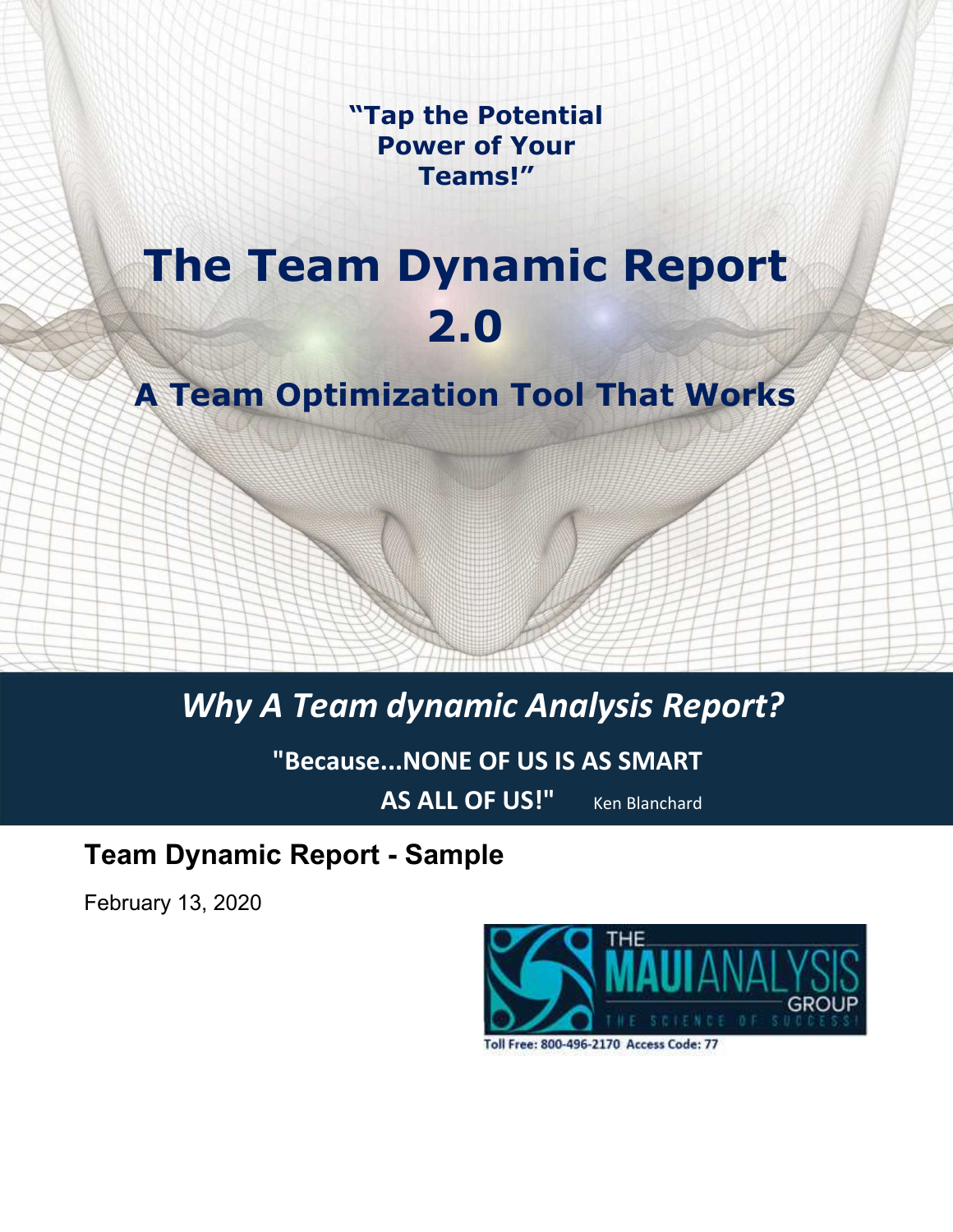**"Tap the Potential Power of Your Teams!"**

# **The Team Dynamic Report 2.0**

# **A Team Optimization Tool That Works**

# *Why A Team dynamic Analysis Report?*

**"Because...NONE OF US IS AS SMART** 

AS ALL OF US!" **Ken Blanchard** 

# **Team Dynamic Report - Sample**

February 13, 2020



Toll Free: 800-496-2170 Access Code: 77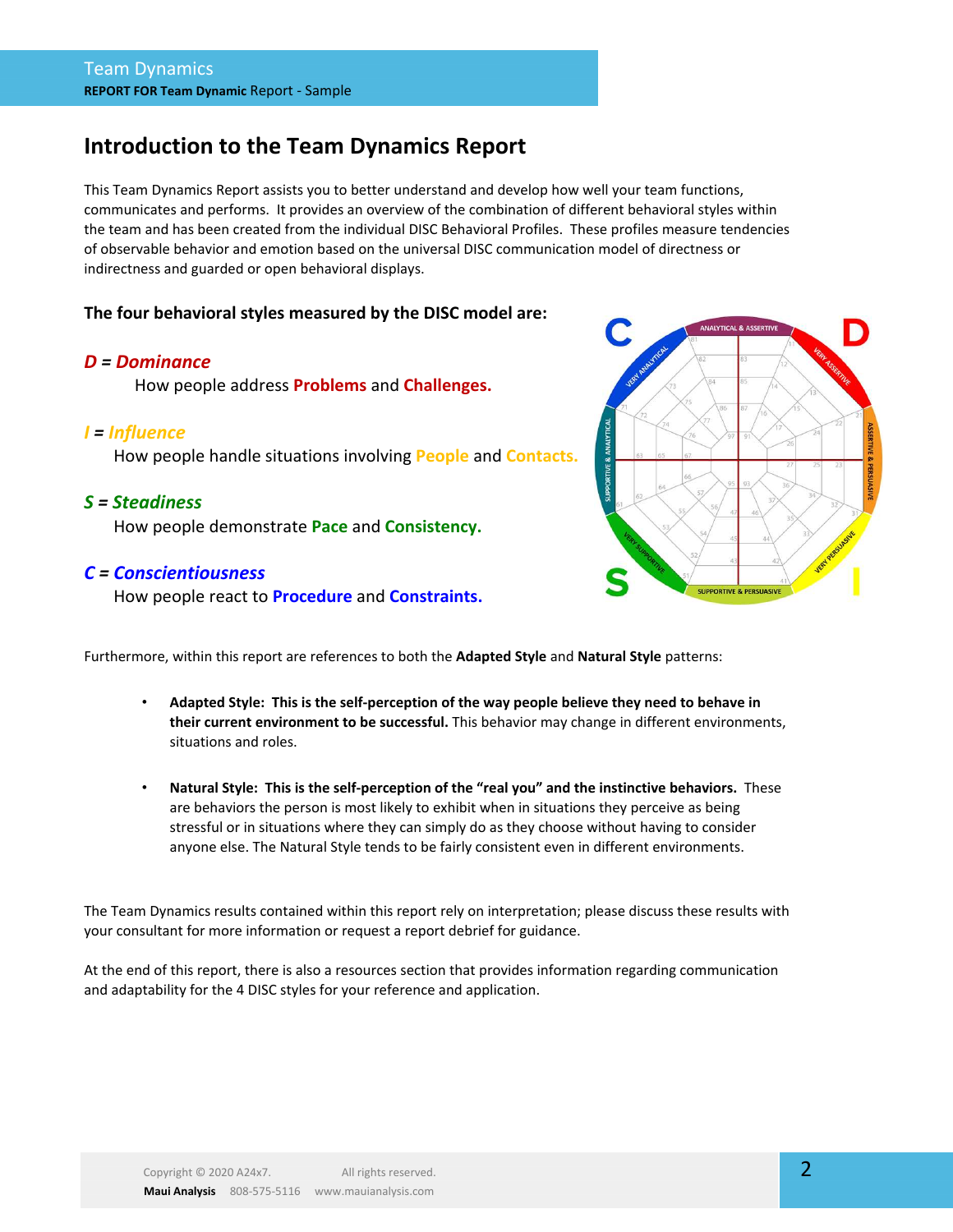# **Introduction to the Team Dynamics Report**

This Team Dynamics Report assists you to better understand and develop how well your team functions, communicates and performs. It provides an overview of the combination of different behavioral styles within the team and has been created from the individual DISC Behavioral Profiles. These profiles measure tendencies of observable behavior and emotion based on the universal DISC communication model of directness or indirectness and guarded or open behavioral displays.

#### **The four behavioral styles measured by the DISC model are:**

#### *D = Dominance*

How people address **Problems** and **Challenges.**

#### *I = Influence*

How people handle situations involving **People** and **Contacts.**

#### *S = Steadiness*

How people demonstrate **Pace** and **Consistency.**

### *C = Conscientiousness*

How people react to **Procedure** and **Constraints.**



Furthermore, within this report are references to both the **Adapted Style** and **Natural Style** patterns:

- **Adapted Style: This is the self-perception of the way people believe they need to behave in their current environment to be successful.** This behavior may change in different environments, situations and roles.
- **Natural Style: This is the self-perception of the "real you" and the instinctive behaviors.** These are behaviors the person is most likely to exhibit when in situations they perceive as being stressful or in situations where they can simply do as they choose without having to consider anyone else. The Natural Style tends to be fairly consistent even in different environments.

The Team Dynamics results contained within this report rely on interpretation; please discuss these results with your consultant for more information or request a report debrief for guidance.

At the end of this report, there is also a resources section that provides information regarding communication and adaptability for the 4 DISC styles for your reference and application.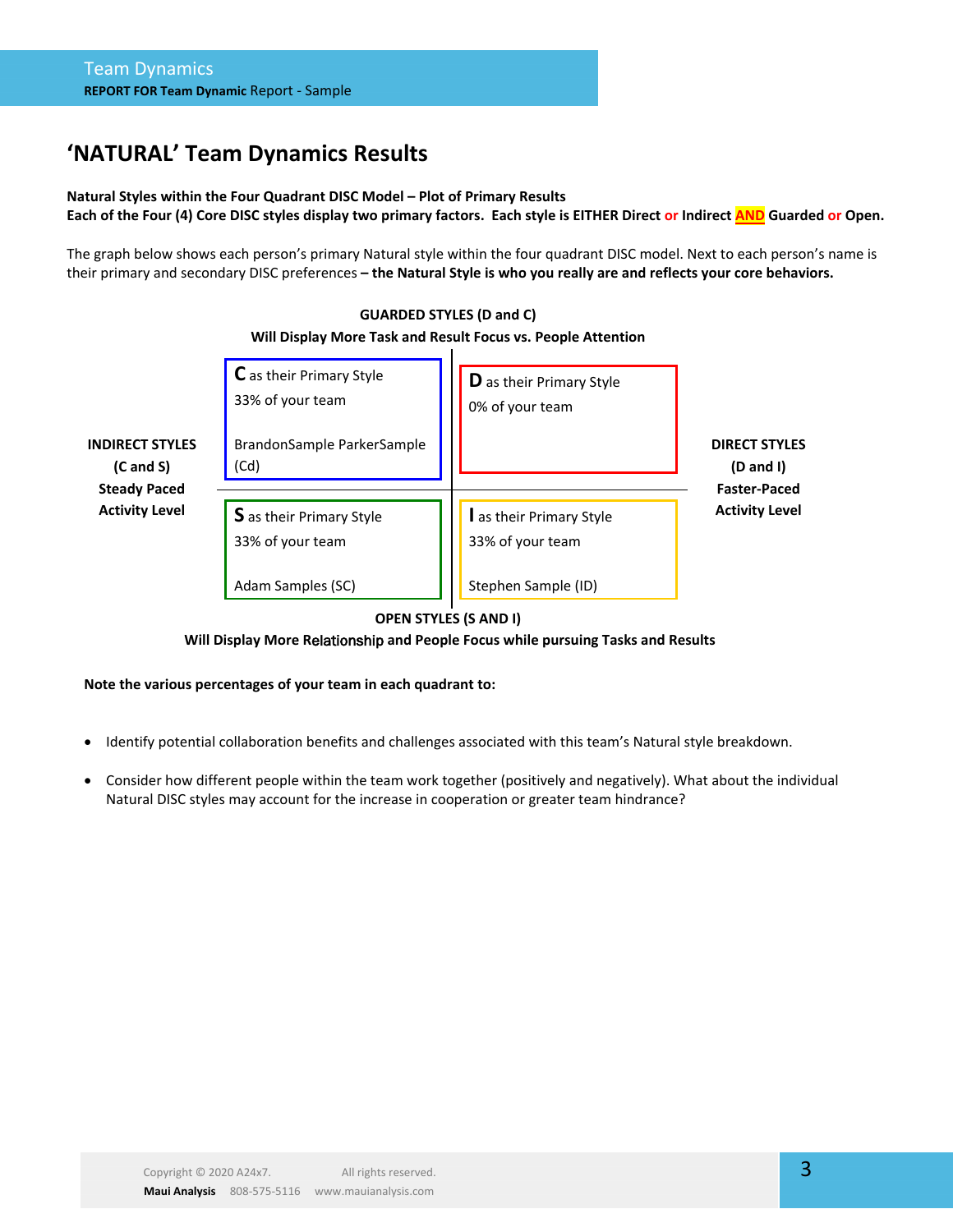# **'NATURAL' Team Dynamics Results**

**Natural Styles within the Four Quadrant DISC Model – Plot of Primary Results** Each of the Four (4) Core DISC styles display two primary factors. Each style is EITHER Direct or Indirect **AND** Guarded or Open.

The graph below shows each person's primary Natural style within the four quadrant DISC model. Next to each person's name is their primary and secondary DISC preferences **– the Natural Style is who you really are and reflects your core behaviors.**



 **Will Display More Relationship and People Focus while pursuing Tasks and Results**

#### **Note the various percentages of your team in each quadrant to:**

- Identify potential collaboration benefits and challenges associated with this team's Natural style breakdown.
- Consider how different people within the team work together (positively and negatively). What about the individual Natural DISC styles may account for the increase in cooperation or greater team hindrance?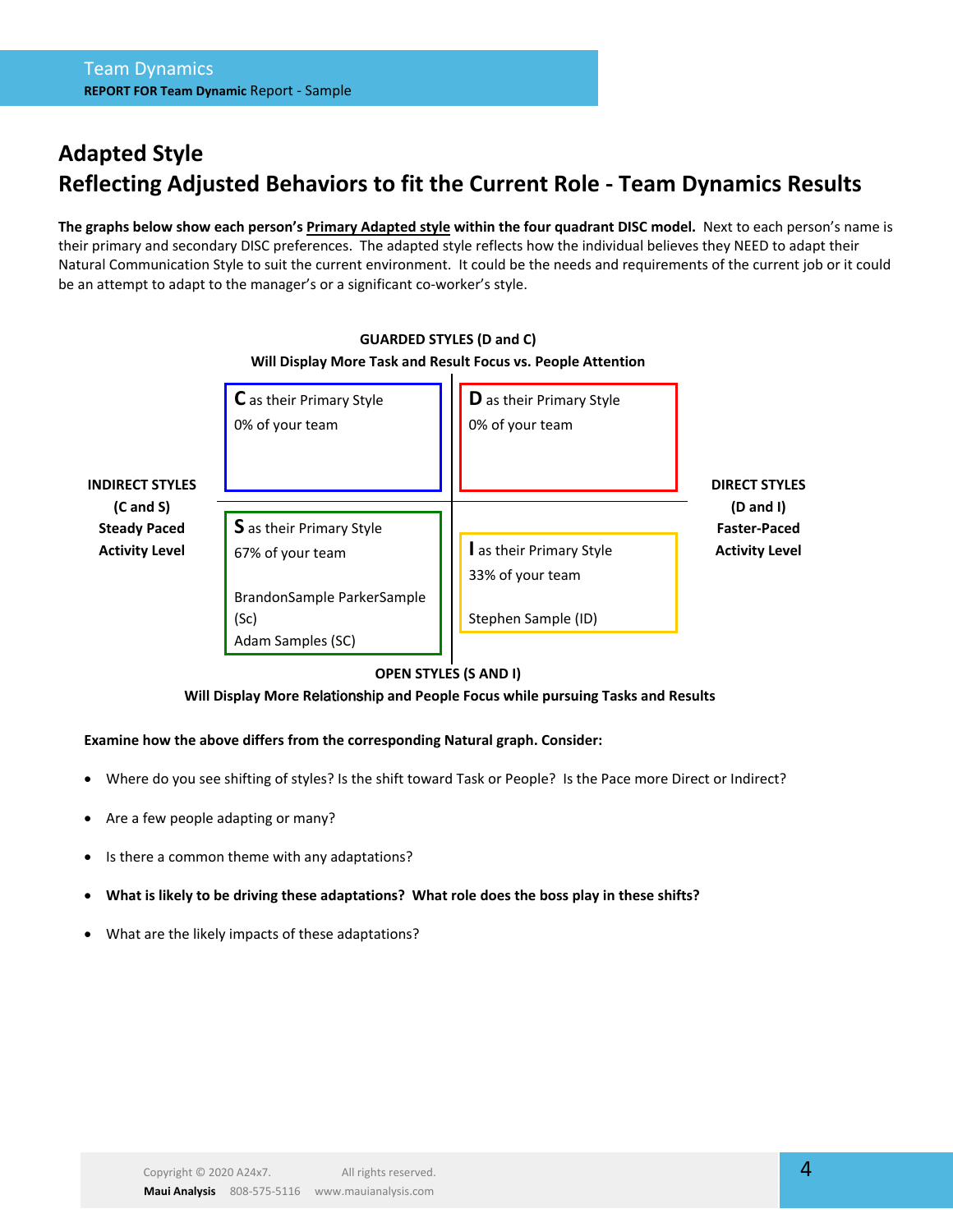# **Adapted Style Reflecting Adjusted Behaviors to fit the Current Role - Team Dynamics Results**

**The graphs below show each person's Primary Adapted style within the four quadrant DISC model.** Next to each person's name is their primary and secondary DISC preferences. The adapted style reflects how the individual believes they NEED to adapt their Natural Communication Style to suit the current environment. It could be the needs and requirements of the current job or it could be an attempt to adapt to the manager's or a significant co-worker's style.



#### **OPEN STYLES (S AND I)**

#### **Will Display More Relationship and People Focus while pursuing Tasks and Results**

#### **Examine how the above differs from the corresponding Natural graph. Consider:**

- Where do you see shifting of styles? Is the shift toward Task or People? Is the Pace more Direct or Indirect?
- Are a few people adapting or many?
- Is there a common theme with any adaptations?
- **What is likely to be driving these adaptations? What role does the boss play in these shifts?**
- What are the likely impacts of these adaptations?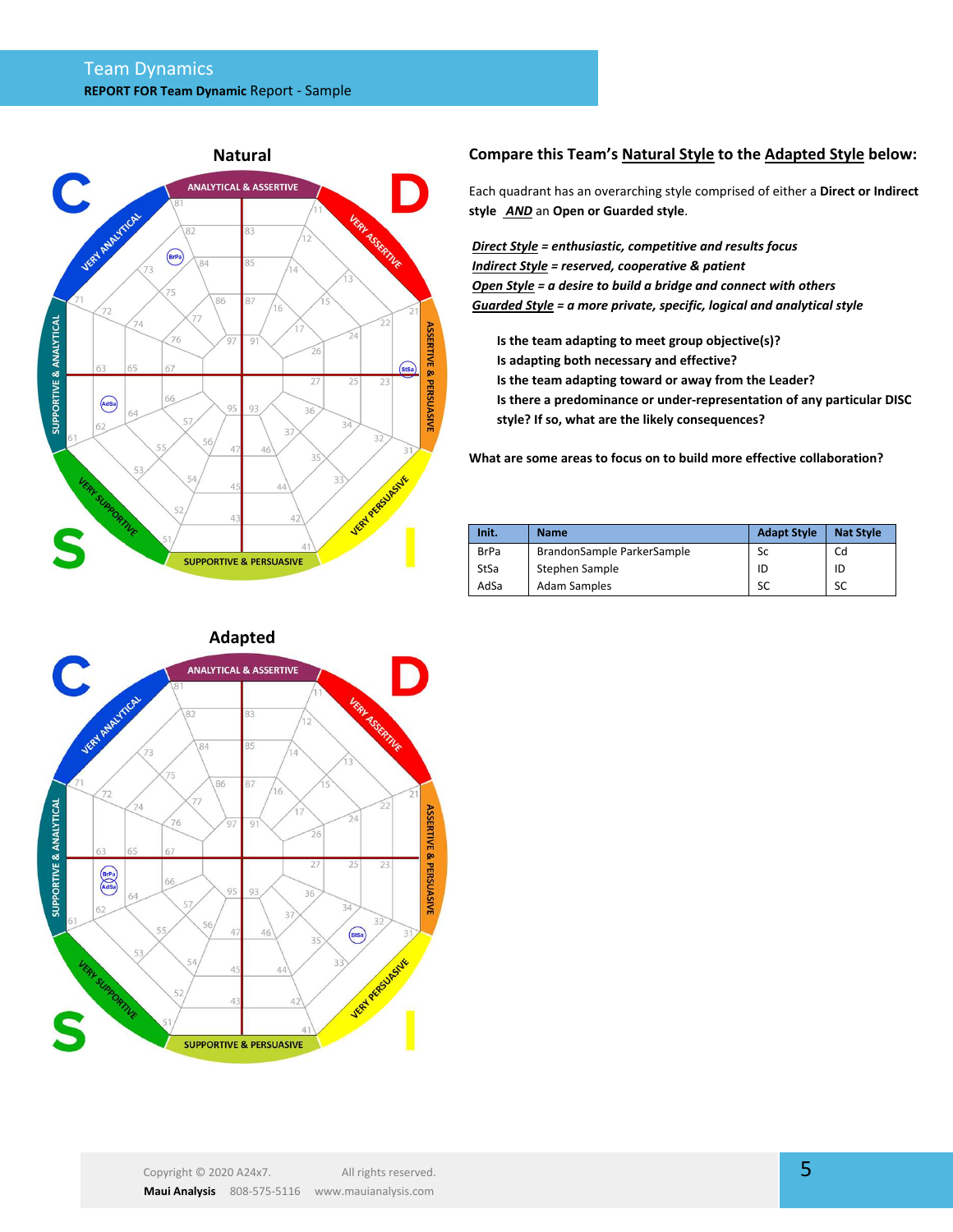#### Team Dynamics **REPORT FOR Team Dynamic** Report - Sample



#### **Compare this Team's Natural Style to the Adapted Style below:**

Each quadrant has an overarching style comprised of either a **Direct or Indirect style** *AND* an **Open or Guarded style**.

 *Direct Style = enthusiastic, competitive and results focus Indirect Style = reserved, cooperative & patient Open Style = a desire to build a bridge and connect with others Guarded Style = a more private, specific, logical and analytical style*

**Is the team adapting to meet group objective(s)? Is adapting both necessary and effective? Is the team adapting toward or away from the Leader? Is there a predominance or under-representation of any particular DISC style? If so, what are the likely consequences?**

**What are some areas to focus on to build more effective collaboration?**

| Init.       | <b>Name</b>                | <b>Adapt Style</b> | <b>Nat Style</b> |
|-------------|----------------------------|--------------------|------------------|
| <b>BrPa</b> | BrandonSample ParkerSample | Sc                 | Cd               |
| StSa        | Stephen Sample             | ID                 | ID               |
| AdSa        | Adam Samples               | SC                 | SC               |

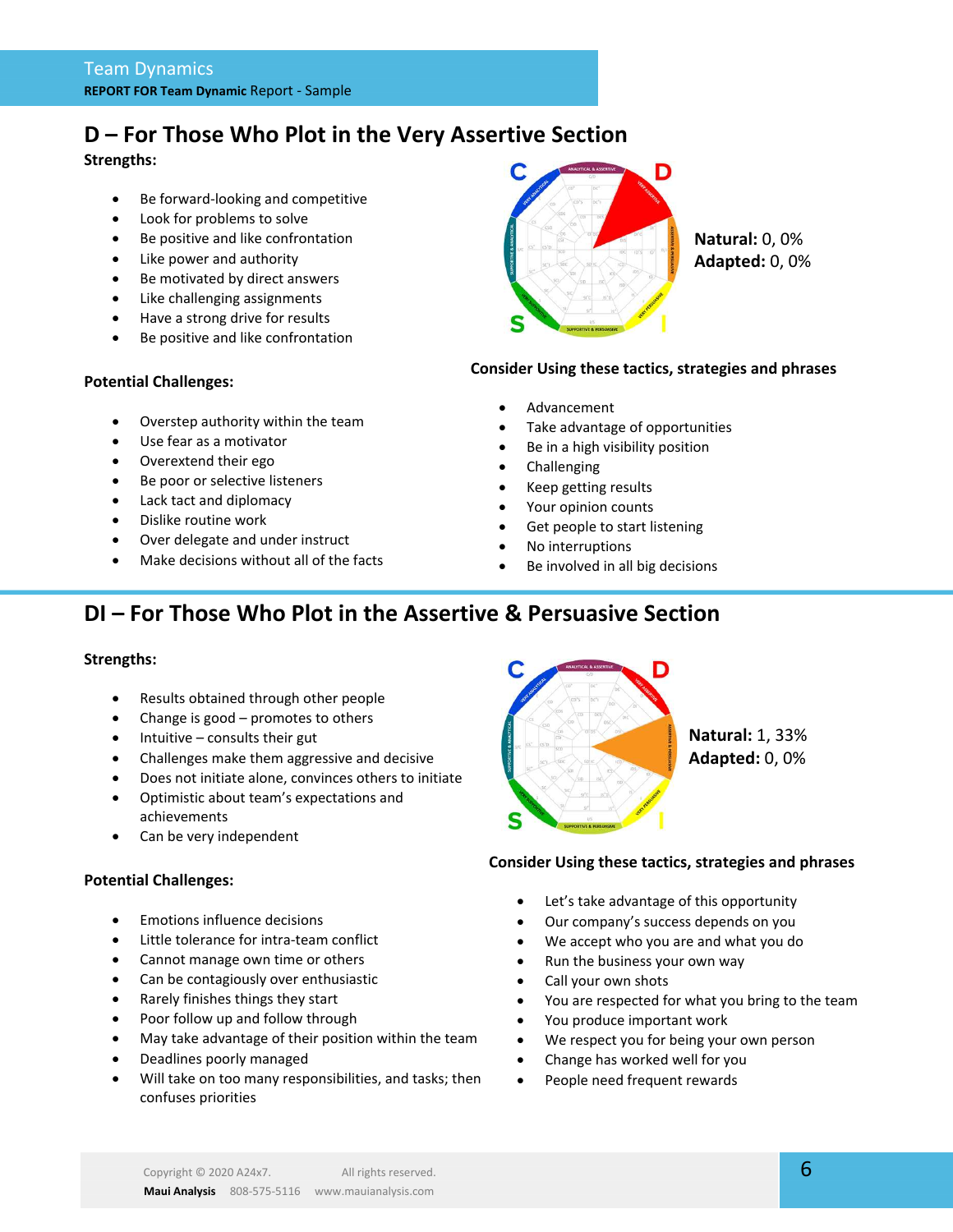# **D – For Those Who Plot in the Very Assertive Section**

**Strengths:**

- Be forward-looking and competitive
- Look for problems to solve
- Be positive and like confrontation
- Like power and authority
- Be motivated by direct answers
- Like challenging assignments
- Have a strong drive for results
- Be positive and like confrontation

#### **Potential Challenges:**

- Overstep authority within the team
- Use fear as a motivator
- Overextend their ego
- Be poor or selective listeners
- Lack tact and diplomacy
- Dislike routine work
- Over delegate and under instruct
- Make decisions without all of the facts

**Natural:** 0, 0% **Adapted:** 0, 0%

#### **Consider Using these tactics, strategies and phrases**

- Advancement
- Take advantage of opportunities
- Be in a high visibility position
- Challenging
- Keep getting results
- Your opinion counts
- Get people to start listening
- No interruptions
- Be involved in all big decisions

# **DI – For Those Who Plot in the Assertive & Persuasive Section**

#### **Strengths:**

- Results obtained through other people
- Change is good promotes to others
- $\bullet$  Intuitive consults their gut
- Challenges make them aggressive and decisive
- Does not initiate alone, convinces others to initiate
- Optimistic about team's expectations and achievements
- Can be very independent

#### **Potential Challenges:**

- Emotions influence decisions
- Little tolerance for intra-team conflict
- Cannot manage own time or others
- Can be contagiously over enthusiastic
- Rarely finishes things they start
- Poor follow up and follow through
- May take advantage of their position within the team
- Deadlines poorly managed
- Will take on too many responsibilities, and tasks; then confuses priorities



#### **Consider Using these tactics, strategies and phrases**

- Let's take advantage of this opportunity
- Our company's success depends on you
- We accept who you are and what you do
- Run the business your own way
- Call your own shots
- You are respected for what you bring to the team
- You produce important work
- We respect you for being your own person
- Change has worked well for you
- People need frequent rewards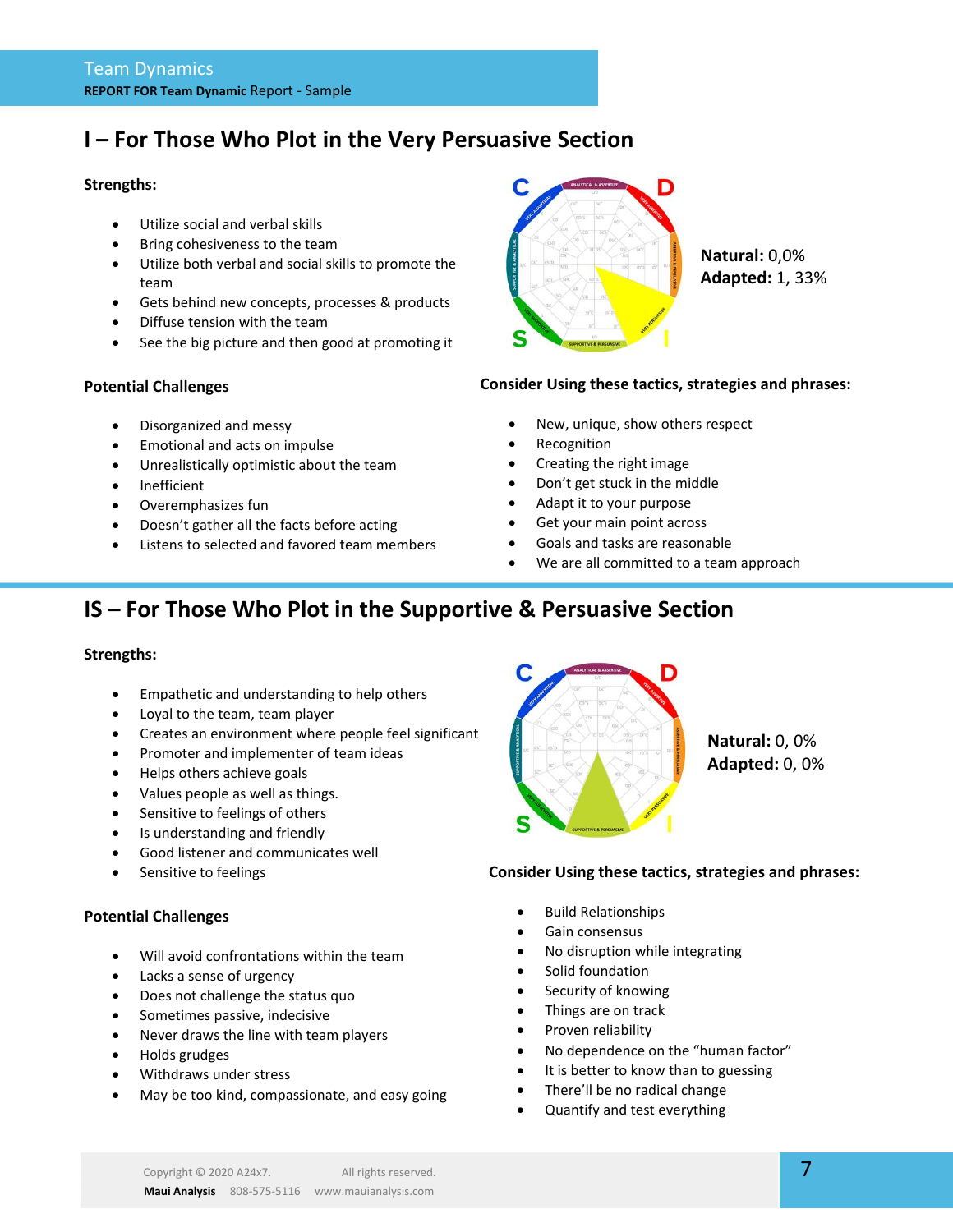# **I – For Those Who Plot in the Very Persuasive Section**

#### **Strengths:**

- Utilize social and verbal skills
- Bring cohesiveness to the team
- Utilize both verbal and social skills to promote the team
- Gets behind new concepts, processes & products
- Diffuse tension with the team
- See the big picture and then good at promoting it

#### **Potential Challenges**

- Disorganized and messy
- Emotional and acts on impulse
- Unrealistically optimistic about the team
- Inefficient
- Overemphasizes fun
- Doesn't gather all the facts before acting
- Listens to selected and favored team members



**Natural:** 0,0% **Adapted:** 1, 33%

#### **Consider Using these tactics, strategies and phrases:**

- New, unique, show others respect
- Recognition
- Creating the right image
- Don't get stuck in the middle
- Adapt it to your purpose
- Get your main point across
- Goals and tasks are reasonable
- We are all committed to a team approach

# **IS – For Those Who Plot in the Supportive & Persuasive Section**

#### **Strengths:**

- Empathetic and understanding to help others
- Loyal to the team, team player
- Creates an environment where people feel significant
- Promoter and implementer of team ideas
- Helps others achieve goals
- Values people as well as things.
- Sensitive to feelings of others
- Is understanding and friendly
- Good listener and communicates well
- Sensitive to feelings

#### **Potential Challenges**

- Will avoid confrontations within the team
- Lacks a sense of urgency
- Does not challenge the status quo
- Sometimes passive, indecisive
- Never draws the line with team players
- Holds grudges
- Withdraws under stress
- May be too kind, compassionate, and easy going



**Natural:** 0, 0% **Adapted:** 0, 0%

#### **Consider Using these tactics, strategies and phrases:**

- Build Relationships
- Gain consensus
- No disruption while integrating
- Solid foundation
- Security of knowing
- Things are on track
- Proven reliability
- No dependence on the "human factor"
- It is better to know than to guessing
- There'll be no radical change
- Quantify and test everything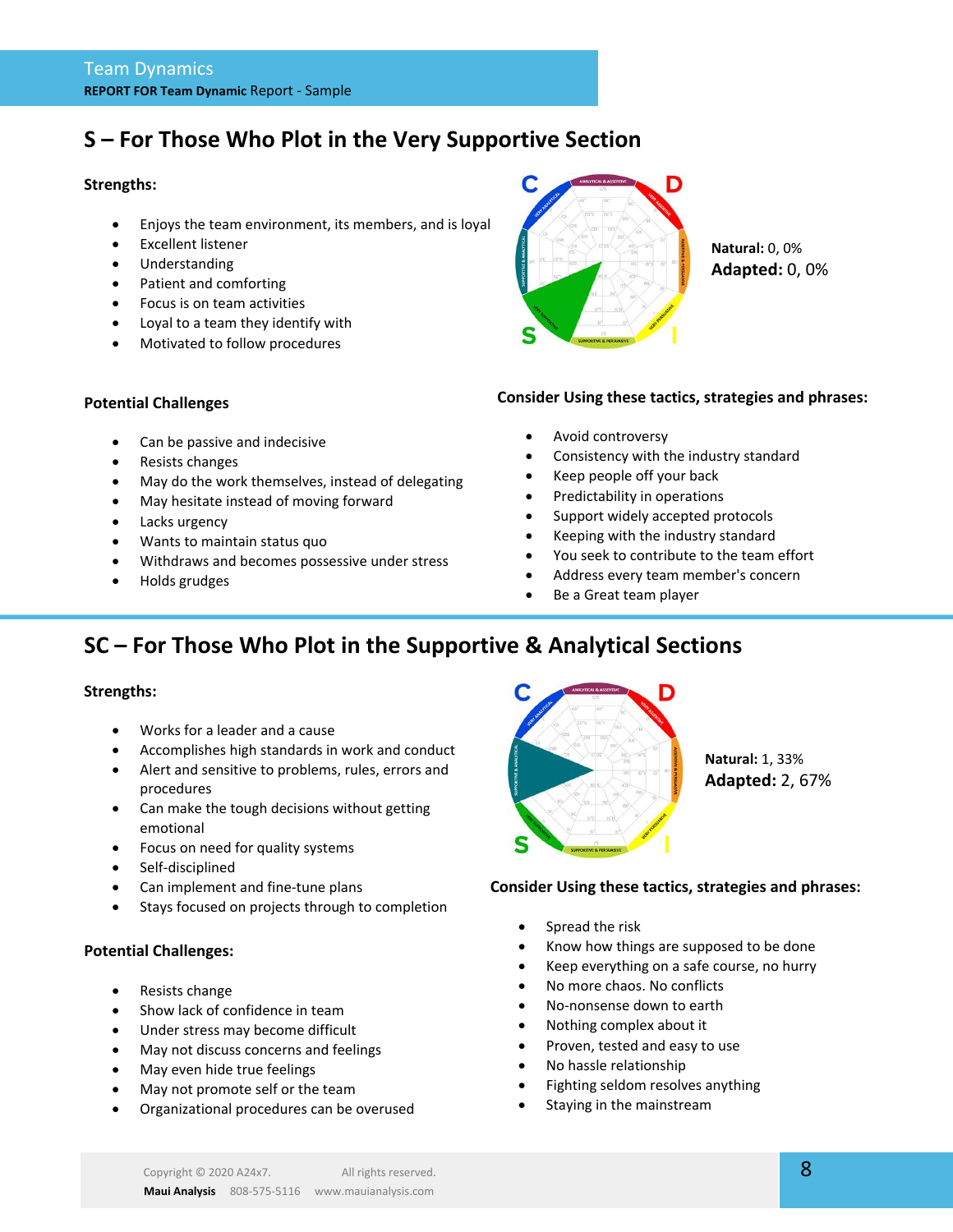# **S – For Those Who Plot in the Very Supportive Section**

#### **Strengths:**

Enjoys the team environment, its members, and is loyal

May do the work themselves, instead of delegating

Withdraws and becomes possessive under stress

May hesitate instead of moving forward

- Excellent listener
- Understanding

**Potential Challenges**

- Patient and comforting
- Focus is on team activities
- Loyal to a team they identify with
- Motivated to follow procedures

Can be passive and indecisive

Wants to maintain status quo

Resists changes

Lacks urgency

Holds grudges



**Natural:** 0, 0% **Adapted:** 0, 0%

#### **Consider Using these tactics, strategies and phrases:**

- Avoid controversy
	- Consistency with the industry standard
	- Keep people off your back
	- Predictability in operations
	- Support widely accepted protocols
	- Keeping with the industry standard
	- You seek to contribute to the team effort
	- Address every team member's concern
	- Be a Great team player

# **SC – For Those Who Plot in the Supportive & Analytical Sections**

#### **Strengths:**

- Works for a leader and a cause
- Accomplishes high standards in work and conduct
- Alert and sensitive to problems, rules, errors and procedures
- Can make the tough decisions without getting emotional
- Focus on need for quality systems
- Self-disciplined
- Can implement and fine-tune plans
- Stays focused on projects through to completion

#### **Potential Challenges:**

- Resists change
- Show lack of confidence in team
- Under stress may become difficult
- May not discuss concerns and feelings
- May even hide true feelings
- May not promote self or the team
- Organizational procedures can be overused



**Natural:** 1, 33% **Adapted:** 2, 67%

#### **Consider Using these tactics, strategies and phrases:**

- Spread the risk
- Know how things are supposed to be done
- Keep everything on a safe course, no hurry
- No more chaos. No conflicts
- No-nonsense down to earth
- Nothing complex about it
- Proven, tested and easy to use
- No hassle relationship
- Fighting seldom resolves anything
- Staying in the mainstream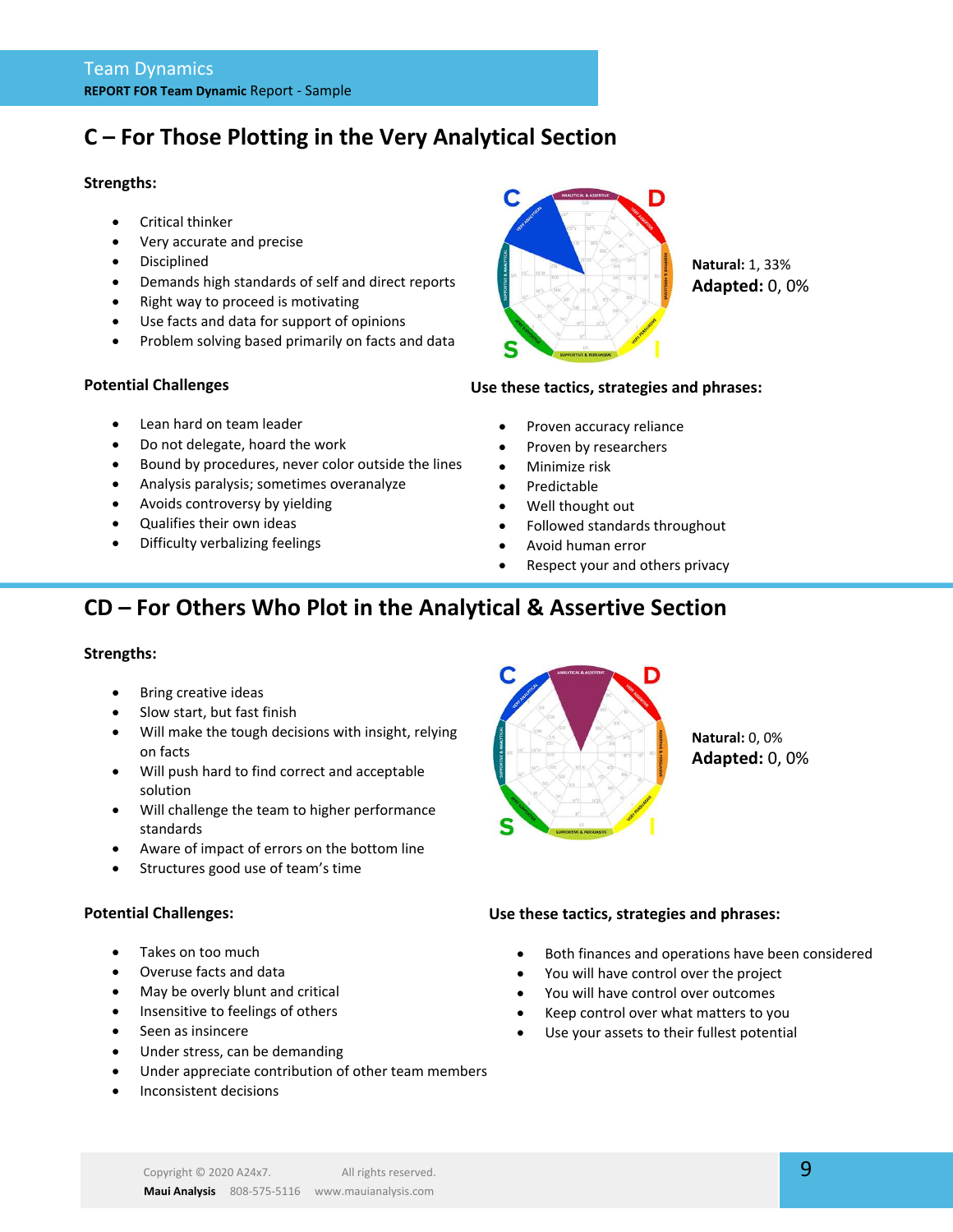# **C – For Those Plotting in the Very Analytical Section**

#### **Strengths:**

- Critical thinker
- Very accurate and precise
- Disciplined
- Demands high standards of self and direct reports
- Right way to proceed is motivating
- Use facts and data for support of opinions
- Problem solving based primarily on facts and data

#### **Potential Challenges**

- Lean hard on team leader
- Do not delegate, hoard the work
- Bound by procedures, never color outside the lines
- Analysis paralysis; sometimes overanalyze
- Avoids controversy by yielding
- Qualifies their own ideas
- Difficulty verbalizing feelings



**Natural:** 1, 33% **Adapted:** 0, 0%

#### **Use these tactics, strategies and phrases:**

- Proven accuracy reliance
- Proven by researchers
- Minimize risk
- Predictable
- Well thought out
- Followed standards throughout
- Avoid human error
- Respect your and others privacy

# **CD – For Others Who Plot in the Analytical & Assertive Section**

#### **Strengths:**

- Bring creative ideas
- Slow start, but fast finish
- Will make the tough decisions with insight, relying on facts
- Will push hard to find correct and acceptable solution
- Will challenge the team to higher performance standards
- Aware of impact of errors on the bottom line
- Structures good use of team's time

#### **Potential Challenges:**

- Takes on too much
- Overuse facts and data
- May be overly blunt and critical
- Insensitive to feelings of others
- Seen as insincere
- Under stress, can be demanding
- Under appreciate contribution of other team members
- Inconsistent decisions



**Natural:** 0, 0% **Adapted:** 0, 0%

#### **Use these tactics, strategies and phrases:**

- Both finances and operations have been considered
- You will have control over the project
- You will have control over outcomes
- Keep control over what matters to you
- Use your assets to their fullest potential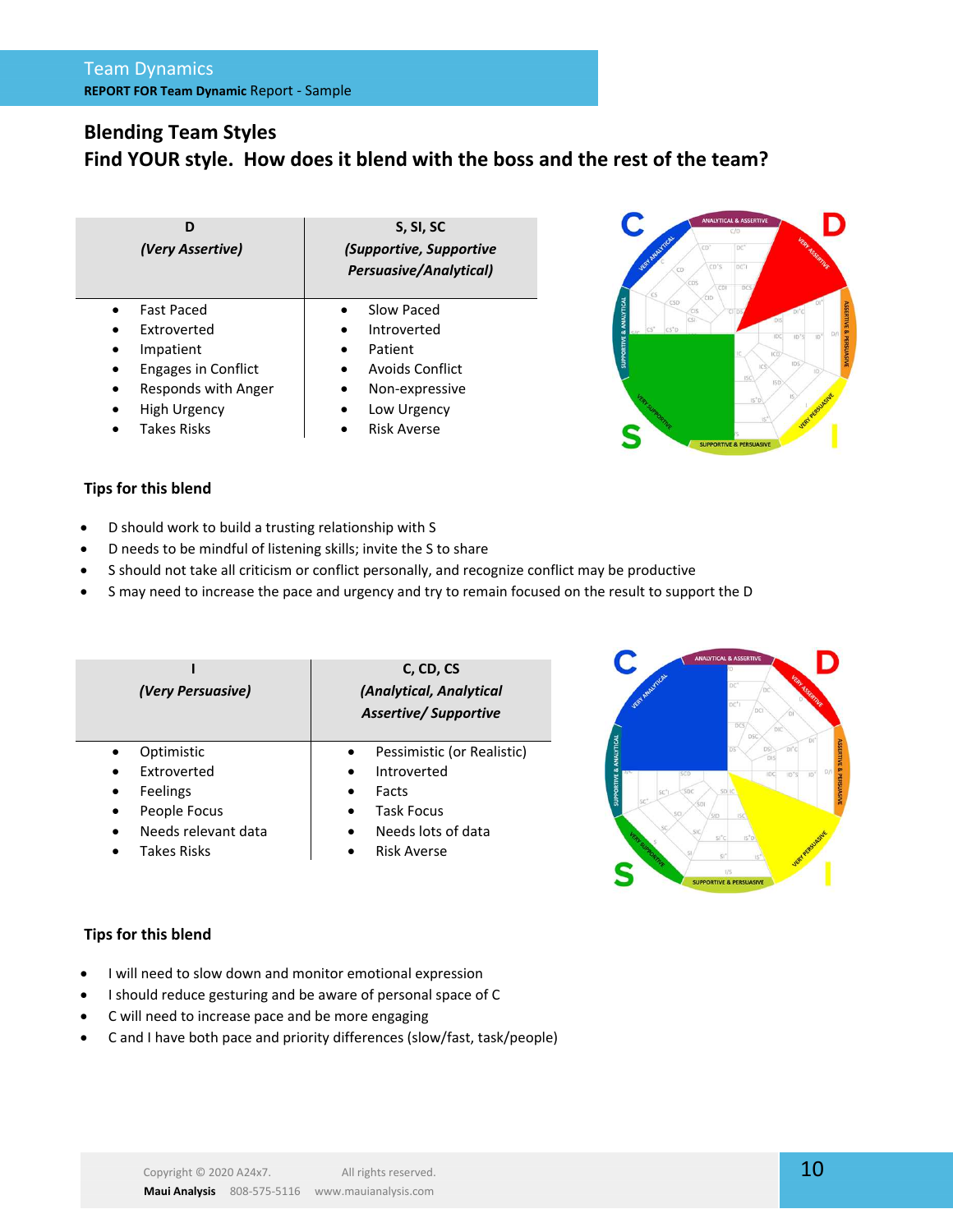### **Blending Team Styles Find YOUR style. How does it blend with the boss and the rest of the team?**

| n<br>(Very Assertive)      | S, SI, SC<br>(Supportive, Supportive<br>Persuasive/Analytical) |
|----------------------------|----------------------------------------------------------------|
| <b>Fast Paced</b>          | Slow Paced                                                     |
| $\bullet$                  | $\bullet$                                                      |
| Extroverted                | Introverted                                                    |
| $\bullet$                  | $\bullet$                                                      |
| Impatient                  | Patient                                                        |
| $\bullet$                  | $\bullet$                                                      |
| <b>Engages in Conflict</b> | Avoids Conflict                                                |
| $\bullet$                  | $\bullet$                                                      |
| Responds with Anger        | Non-expressive                                                 |
| $\bullet$                  | $\bullet$                                                      |
| <b>High Urgency</b>        | Low Urgency                                                    |
| $\bullet$                  | $\bullet$                                                      |
| <b>Takes Risks</b>         | <b>Risk Averse</b>                                             |



#### **Tips for this blend**

- D should work to build a trusting relationship with S
- D needs to be mindful of listening skills; invite the S to share
- S should not take all criticism or conflict personally, and recognize conflict may be productive
- S may need to increase the pace and urgency and try to remain focused on the result to support the D

| (Very Persuasive)                | C, CD, CS<br>(Analytical, Analytical<br><b>Assertive/Supportive</b> |
|----------------------------------|---------------------------------------------------------------------|
| Optimistic<br>$\bullet$          | Pessimistic (or Realistic)                                          |
| Extroverted<br>$\bullet$         | Introverted<br>$\bullet$                                            |
| <b>Feelings</b><br>$\bullet$     | <b>Facts</b>                                                        |
| People Focus<br>$\bullet$        | <b>Task Focus</b>                                                   |
| Needs relevant data<br>$\bullet$ | Needs lots of data                                                  |
| Takes Risks                      | Risk Averse                                                         |



#### **Tips for this blend**

- I will need to slow down and monitor emotional expression
- I should reduce gesturing and be aware of personal space of C
- C will need to increase pace and be more engaging
- C and I have both pace and priority differences (slow/fast, task/people)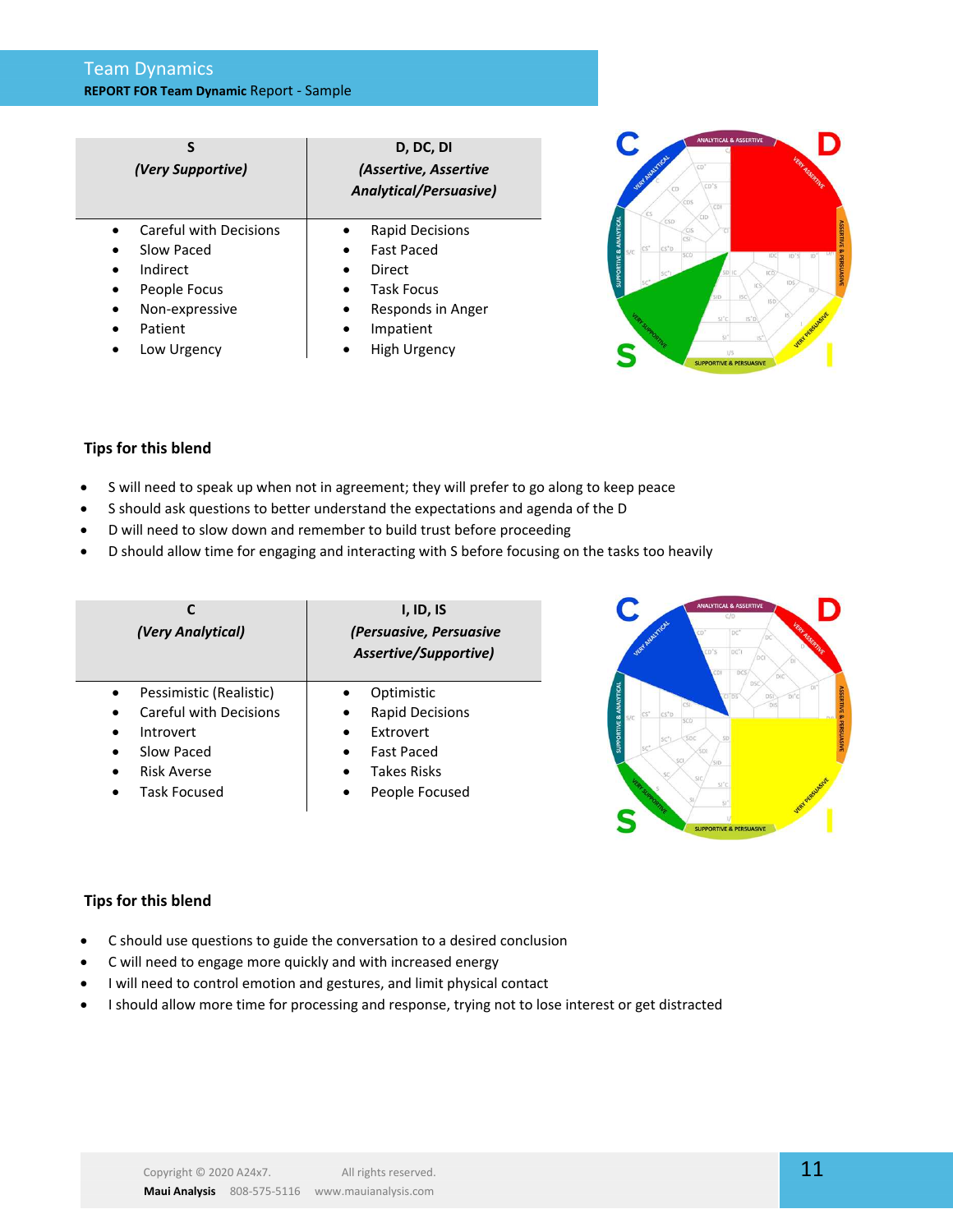#### Team Dynamics **REPORT FOR Team Dynamic** Report - Sample

| S<br>(Very Supportive)        | D, DC, DI<br>(Assertive, Assertive<br><b>Analytical/Persuasive)</b> |
|-------------------------------|---------------------------------------------------------------------|
| <b>Careful with Decisions</b> | <b>Rapid Decisions</b>                                              |
| $\bullet$                     | $\bullet$                                                           |
| Slow Paced                    | <b>Fast Paced</b>                                                   |
| $\bullet$                     | $\bullet$                                                           |
| Indirect                      | Direct                                                              |
| $\bullet$                     | $\bullet$                                                           |
| People Focus                  | <b>Task Focus</b>                                                   |
| $\bullet$                     | $\bullet$                                                           |
| Non-expressive                | Responds in Anger                                                   |
| $\bullet$                     | $\bullet$                                                           |
| Patient                       | Impatient                                                           |
| $\bullet$                     | $\bullet$                                                           |
| Low Urgency                   | <b>High Urgency</b>                                                 |



#### **Tips for this blend**

- S will need to speak up when not in agreement; they will prefer to go along to keep peace
- S should ask questions to better understand the expectations and agenda of the D
- D will need to slow down and remember to build trust before proceeding
- D should allow time for engaging and interacting with S before focusing on the tasks too heavily

| (Very Analytical)       | I, ID, IS<br>(Persuasive, Persuasive<br>Assertive/Supportive) |
|-------------------------|---------------------------------------------------------------|
| Pessimistic (Realistic) | Optimistic                                                    |
| $\bullet$               | <b>Rapid Decisions</b>                                        |
| Careful with Decisions  | ٠                                                             |
| $\bullet$               | <b>Fxtrovert</b>                                              |
| Introvert               | $\bullet$                                                     |
| $\bullet$               | <b>Fast Paced</b>                                             |
| Slow Paced              | $\bullet$                                                     |
| $\bullet$               | <b>Takes Risks</b>                                            |
| <b>Risk Averse</b>      | $\bullet$                                                     |
| $\bullet$               | People Focused                                                |
| <b>Task Focused</b>     | $\bullet$                                                     |



#### **Tips for this blend**

- C should use questions to guide the conversation to a desired conclusion
- C will need to engage more quickly and with increased energy
- I will need to control emotion and gestures, and limit physical contact
- I should allow more time for processing and response, trying not to lose interest or get distracted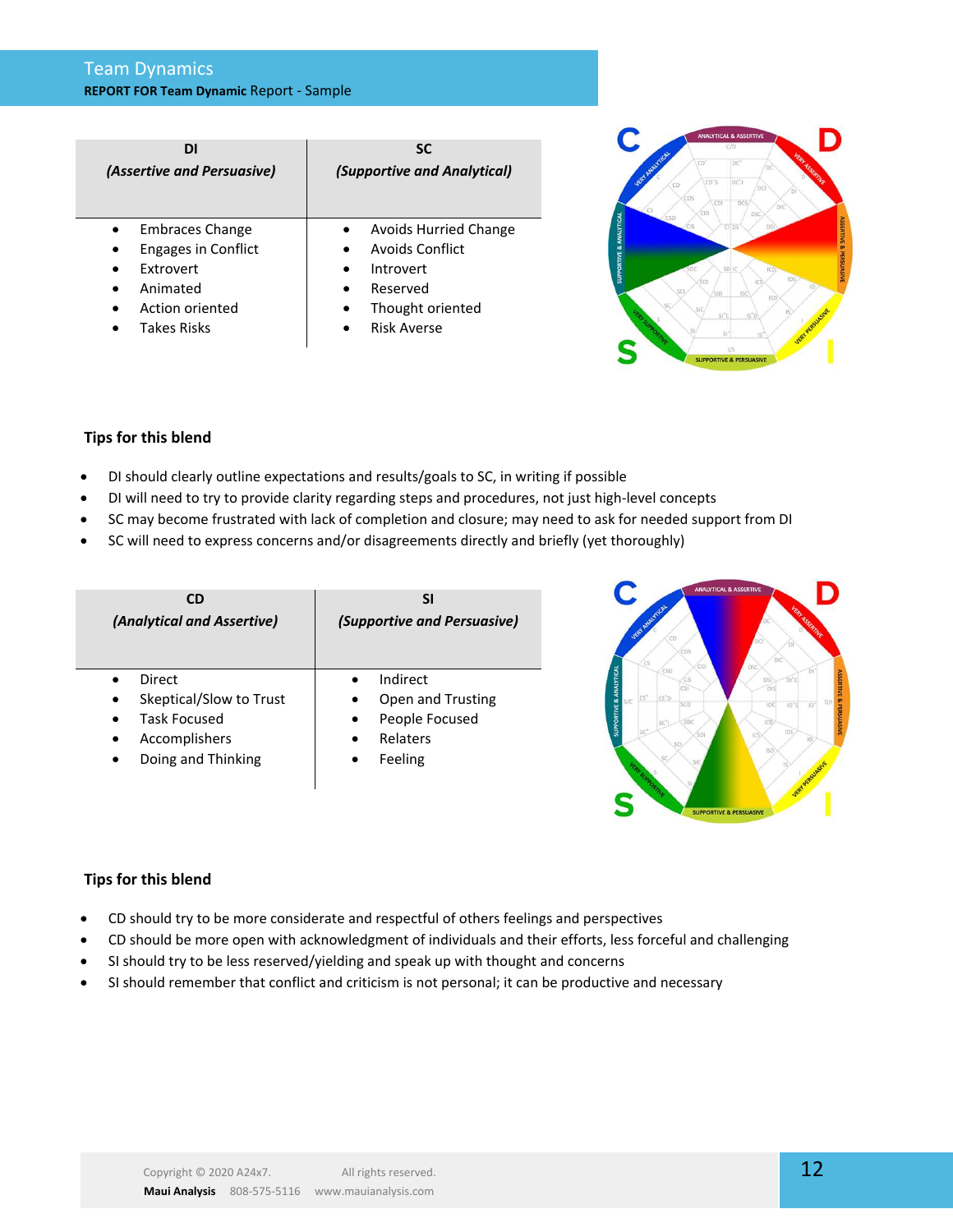#### Team Dynamics **REPORT FOR Team Dynamic** Report - Sample

| DI                                                                                                                                                                        | <b>SC</b>                                                                                            |
|---------------------------------------------------------------------------------------------------------------------------------------------------------------------------|------------------------------------------------------------------------------------------------------|
| (Assertive and Persuasive)                                                                                                                                                | (Supportive and Analytical)                                                                          |
| <b>Embraces Change</b><br><b>Engages in Conflict</b><br>$\bullet$<br><b>Fxtrovert</b><br>٠<br>Animated<br>$\bullet$<br>Action oriented<br>$\bullet$<br><b>Takes Risks</b> | Avoids Hurried Change<br>Avoids Conflict<br>Introvert<br>Reserved<br>Thought oriented<br>Risk Averse |



#### **Tips for this blend**

- DI should clearly outline expectations and results/goals to SC, in writing if possible
- DI will need to try to provide clarity regarding steps and procedures, not just high-level concepts
- SC may become frustrated with lack of completion and closure; may need to ask for needed support from DI
- SC will need to express concerns and/or disagreements directly and briefly (yet thoroughly)

| CD                                                                                                                                | SI                                                                                            |
|-----------------------------------------------------------------------------------------------------------------------------------|-----------------------------------------------------------------------------------------------|
| (Analytical and Assertive)                                                                                                        | (Supportive and Persuasive)                                                                   |
| Direct<br>٠<br>Skeptical/Slow to Trust<br>$\bullet$<br>Task Focused<br>$\bullet$<br>Accomplishers<br>٠<br>Doing and Thinking<br>٠ | Indirect<br>Open and Trusting<br>٠<br>People Focused<br>$\bullet$<br>Relaters<br>Feeling<br>٠ |



#### **Tips for this blend**

- CD should try to be more considerate and respectful of others feelings and perspectives
- CD should be more open with acknowledgment of individuals and their efforts, less forceful and challenging
- SI should try to be less reserved/yielding and speak up with thought and concerns
- SI should remember that conflict and criticism is not personal; it can be productive and necessary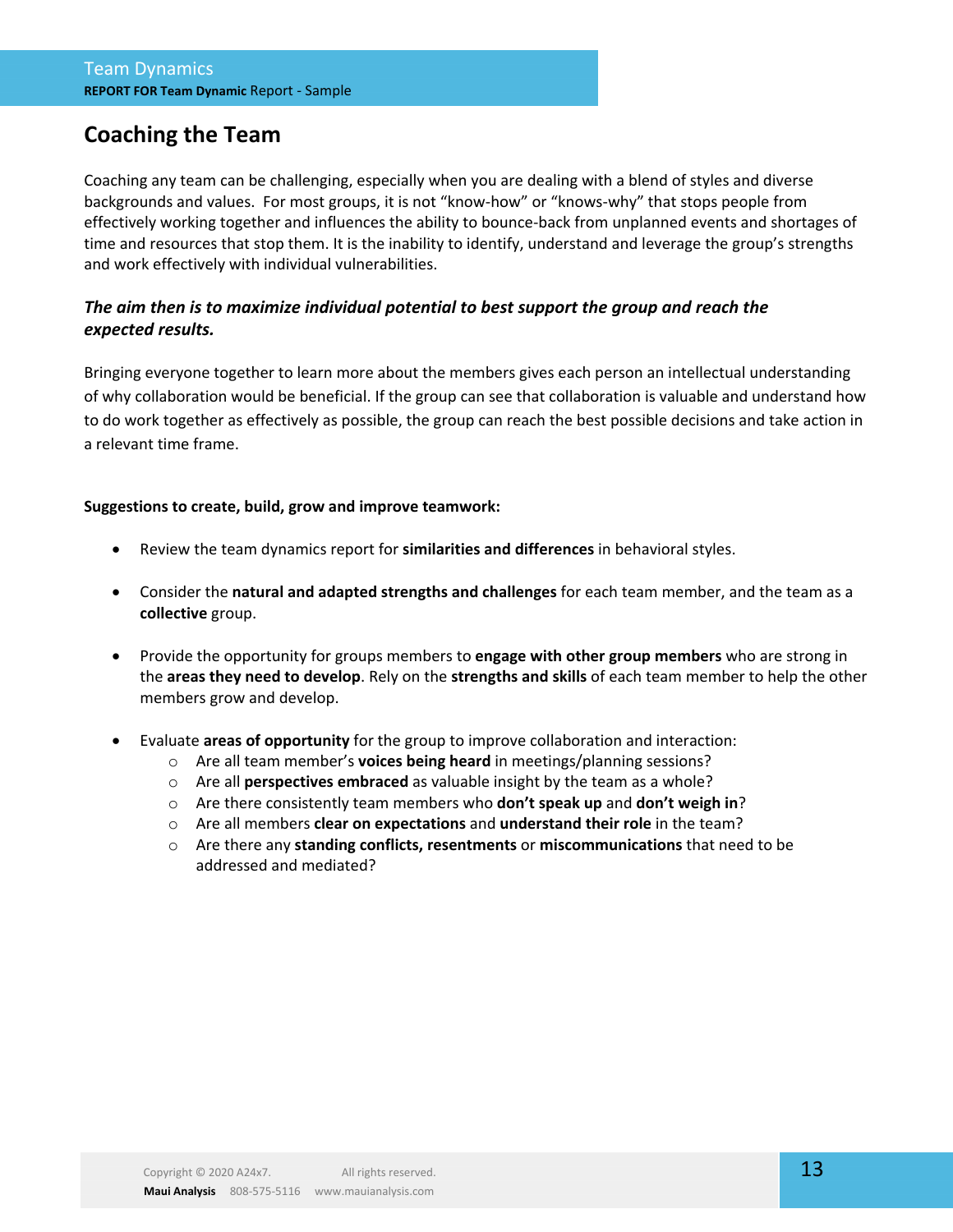# **Coaching the Team**

Coaching any team can be challenging, especially when you are dealing with a blend of styles and diverse backgrounds and values. For most groups, it is not "know-how" or "knows-why" that stops people from effectively working together and influences the ability to bounce-back from unplanned events and shortages of time and resources that stop them. It is the inability to identify, understand and leverage the group's strengths and work effectively with individual vulnerabilities.

### *The aim then is to maximize individual potential to best support the group and reach the expected results.*

Bringing everyone together to learn more about the members gives each person an intellectual understanding of why collaboration would be beneficial. If the group can see that collaboration is valuable and understand how to do work together as effectively as possible, the group can reach the best possible decisions and take action in a relevant time frame.

#### **Suggestions to create, build, grow and improve teamwork:**

- Review the team dynamics report for **similarities and differences** in behavioral styles.
- Consider the **natural and adapted strengths and challenges** for each team member, and the team as a **collective** group.
- Provide the opportunity for groups members to **engage with other group members** who are strong in the **areas they need to develop**. Rely on the **strengths and skills** of each team member to help the other members grow and develop.
- Evaluate **areas of opportunity** for the group to improve collaboration and interaction:
	- o Are all team member's **voices being heard** in meetings/planning sessions?
	- o Are all **perspectives embraced** as valuable insight by the team as a whole?
	- o Are there consistently team members who **don't speak up** and **don't weigh in**?
	- o Are all members **clear on expectations** and **understand their role** in the team?
	- o Are there any **standing conflicts, resentments** or **miscommunications** that need to be addressed and mediated?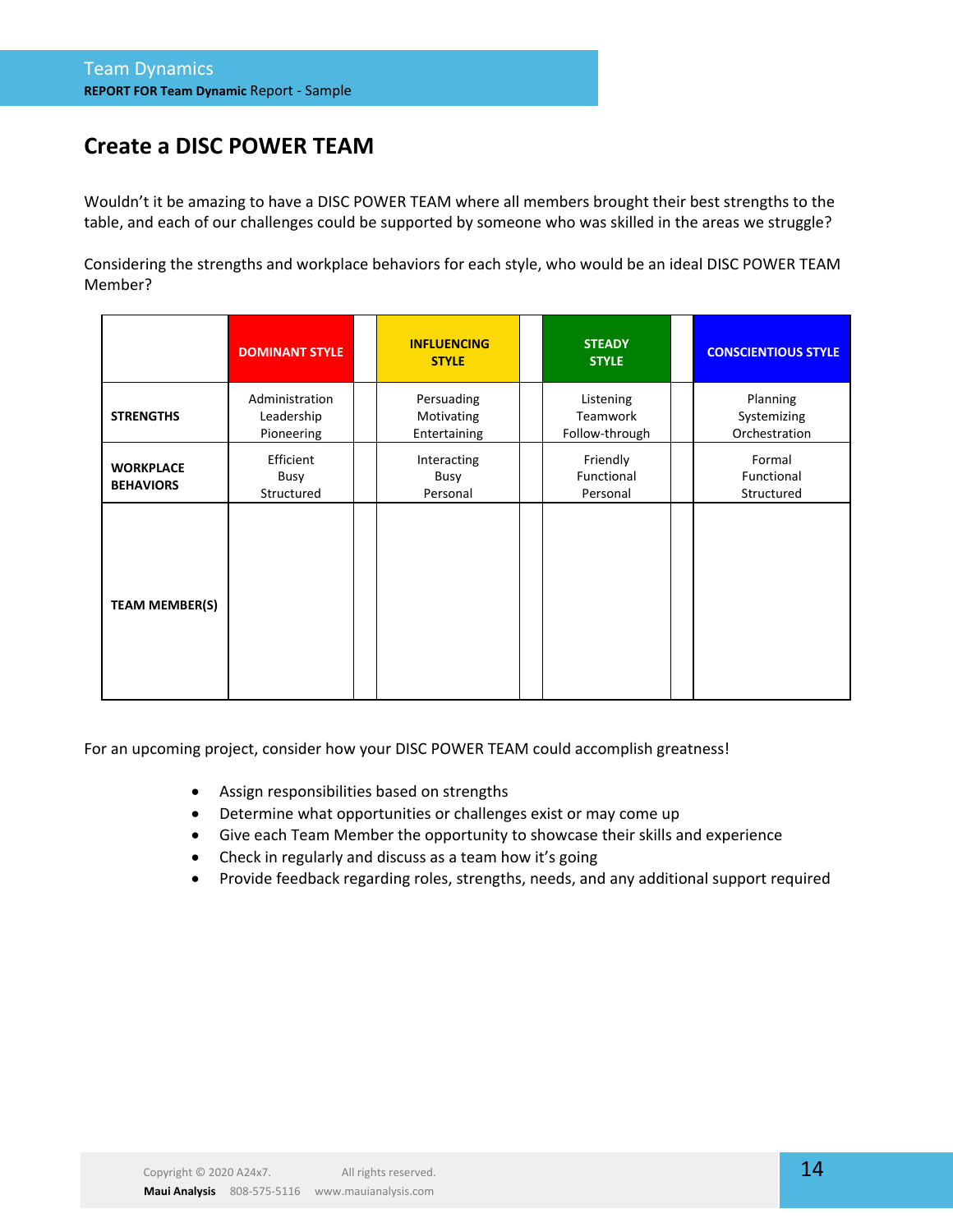# **Create a DISC POWER TEAM**

Wouldn't it be amazing to have a DISC POWER TEAM where all members brought their best strengths to the table, and each of our challenges could be supported by someone who was skilled in the areas we struggle?

Considering the strengths and workplace behaviors for each style, who would be an ideal DISC POWER TEAM Member?

|                                      | <b>DOMINANT STYLE</b>                      | <b>INFLUENCING</b><br><b>STYLE</b>       | <b>STEADY</b><br><b>STYLE</b>           | <b>CONSCIENTIOUS STYLE</b>               |
|--------------------------------------|--------------------------------------------|------------------------------------------|-----------------------------------------|------------------------------------------|
| <b>STRENGTHS</b>                     | Administration<br>Leadership<br>Pioneering | Persuading<br>Motivating<br>Entertaining | Listening<br>Teamwork<br>Follow-through | Planning<br>Systemizing<br>Orchestration |
| <b>WORKPLACE</b><br><b>BEHAVIORS</b> | Efficient<br>Busy<br>Structured            | Interacting<br>Busy<br>Personal          | Friendly<br>Functional<br>Personal      | Formal<br>Functional<br>Structured       |
| <b>TEAM MEMBER(S)</b>                |                                            |                                          |                                         |                                          |

For an upcoming project, consider how your DISC POWER TEAM could accomplish greatness!

- Assign responsibilities based on strengths
- Determine what opportunities or challenges exist or may come up
- Give each Team Member the opportunity to showcase their skills and experience
- Check in regularly and discuss as a team how it's going
- Provide feedback regarding roles, strengths, needs, and any additional support required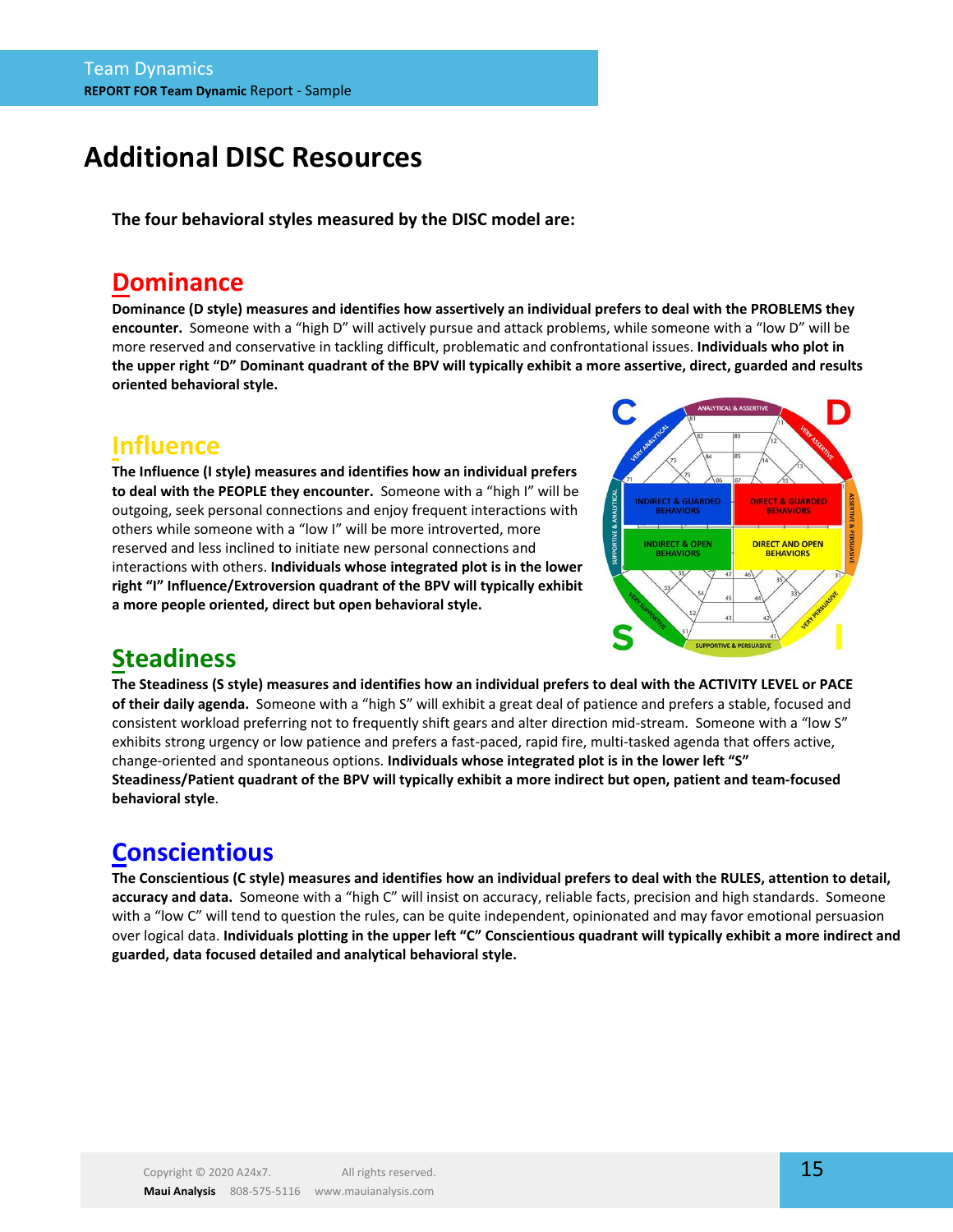# **Additional DISC Resources**

**The four behavioral styles measured by the DISC model are:**

# **Dominance**

**Dominance (D style) measures and identifies how assertively an individual prefers to deal with the PROBLEMS they encounter.** Someone with a "high D" will actively pursue and attack problems, while someone with a "low D" will be more reserved and conservative in tackling difficult, problematic and confrontational issues. **Individuals who plot in the upper right "D" Dominant quadrant of the BPV will typically exhibit a more assertive, direct, guarded and results oriented behavioral style.**

# **Influence**

**The Influence (I style) measures and identifies how an individual prefers to deal with the PEOPLE they encounter.** Someone with a "high I" will be outgoing, seek personal connections and enjoy frequent interactions with others while someone with a "low I" will be more introverted, more reserved and less inclined to initiate new personal connections and interactions with others. **Individuals whose integrated plot is in the lower right "I" Influence/Extroversion quadrant of the BPV will typically exhibit a more people oriented, direct but open behavioral style.**



# **Steadiness**

**The Steadiness (S style) measures and identifies how an individual prefers to deal with the ACTIVITY LEVEL or PACE of their daily agenda.** Someone with a "high S" will exhibit a great deal of patience and prefers a stable, focused and consistent workload preferring not to frequently shift gears and alter direction mid-stream. Someone with a "low S" exhibits strong urgency or low patience and prefers a fast-paced, rapid fire, multi-tasked agenda that offers active, change-oriented and spontaneous options. **Individuals whose integrated plot is in the lower left "S" Steadiness/Patient quadrant of the BPV will typically exhibit a more indirect but open, patient and team-focused behavioral style**.

# **Conscientious**

**The Conscientious (C style) measures and identifies how an individual prefers to deal with the RULES, attention to detail, accuracy and data.** Someone with a "high C" will insist on accuracy, reliable facts, precision and high standards. Someone with a "low C" will tend to question the rules, can be quite independent, opinionated and may favor emotional persuasion over logical data. **Individuals plotting in the upper left "C" Conscientious quadrant will typically exhibit a more indirect and guarded, data focused detailed and analytical behavioral style.**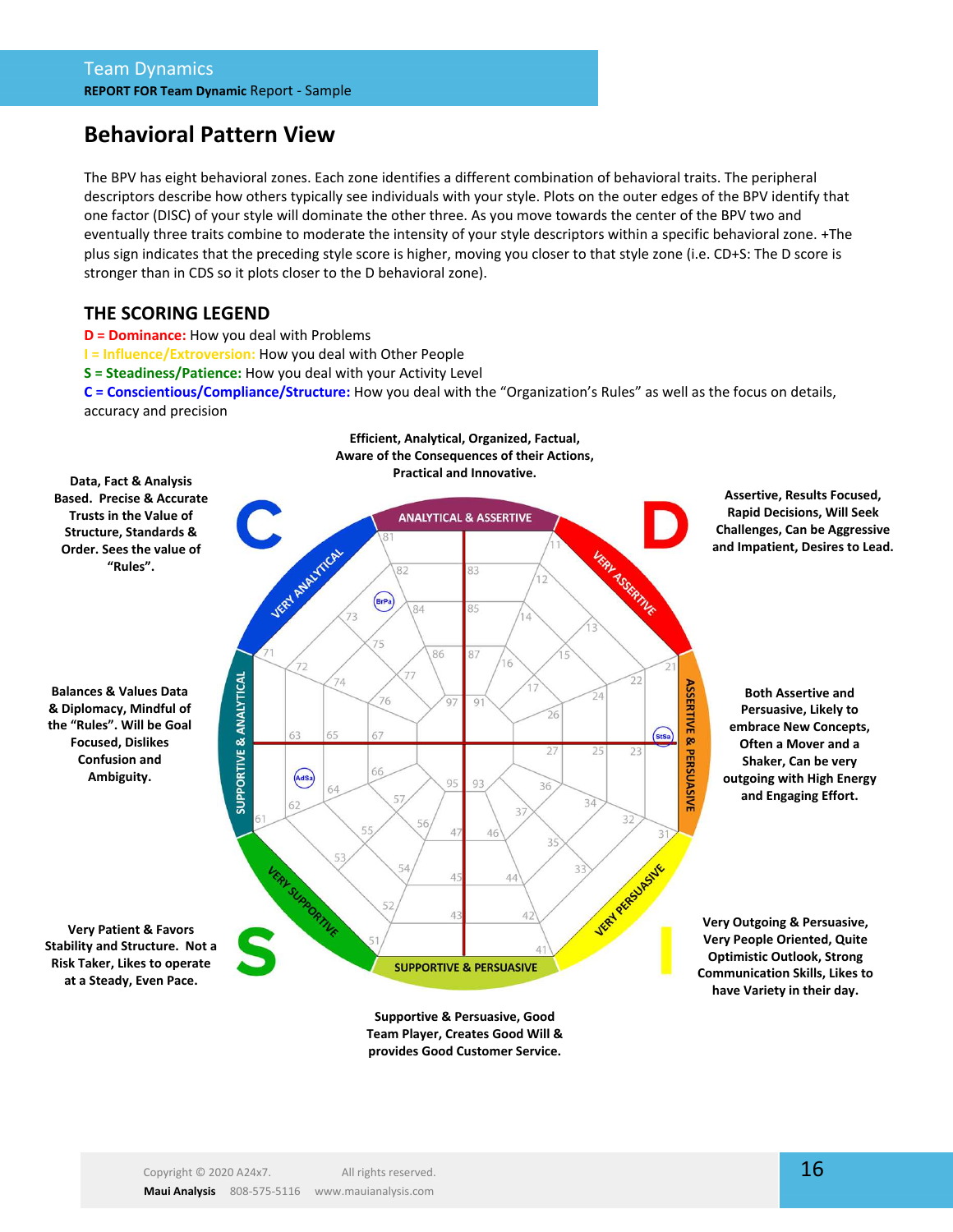## **Behavioral Pattern View**

The BPV has eight behavioral zones. Each zone identifies a different combination of behavioral traits. The peripheral descriptors describe how others typically see individuals with your style. Plots on the outer edges of the BPV identify that one factor (DISC) of your style will dominate the other three. As you move towards the center of the BPV two and eventually three traits combine to moderate the intensity of your style descriptors within a specific behavioral zone. +The plus sign indicates that the preceding style score is higher, moving you closer to that style zone (i.e. CD+S: The D score is stronger than in CDS so it plots closer to the D behavioral zone).

### **THE SCORING LEGEND**

- **D = Dominance:** How you deal with Problems
- **I = Influence/Extroversion:** How you deal with Other People
- **S = Steadiness/Patience:** How you deal with your Activity Level

**C = Conscientious/Compliance/Structure:** How you deal with the "Organization's Rules" as well as the focus on details, accuracy and precision

**Efficient, Analytical, Organized, Factual,** 



**Team Player, Creates Good Will & provides Good Customer Service.**

Copyright © 2020 A24x7. All rights reserved. **Maui Analysis** 808-575-5116 www.mauianalysis.com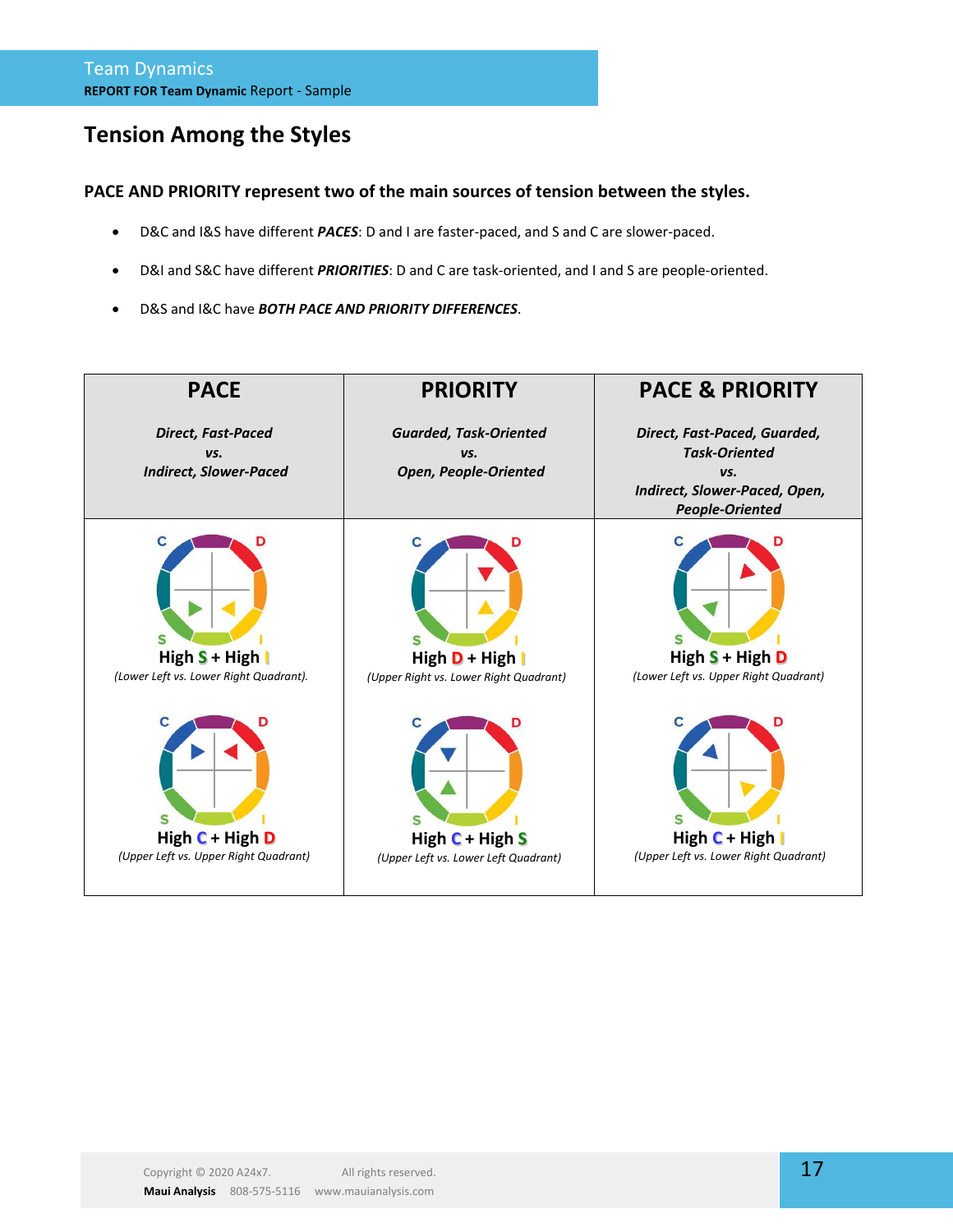# **Tension Among the Styles**

#### **PACE AND PRIORITY represent two of the main sources of tension between the styles.**

- D&C and I&S have different *PACES*: D and I are faster-paced, and S and C are slower-paced.
- D&I and S&C have different *PRIORITIES*: D and C are task-oriented, and I and S are people-oriented.
- D&S and I&C have *BOTH PACE AND PRIORITY DIFFERENCES*.

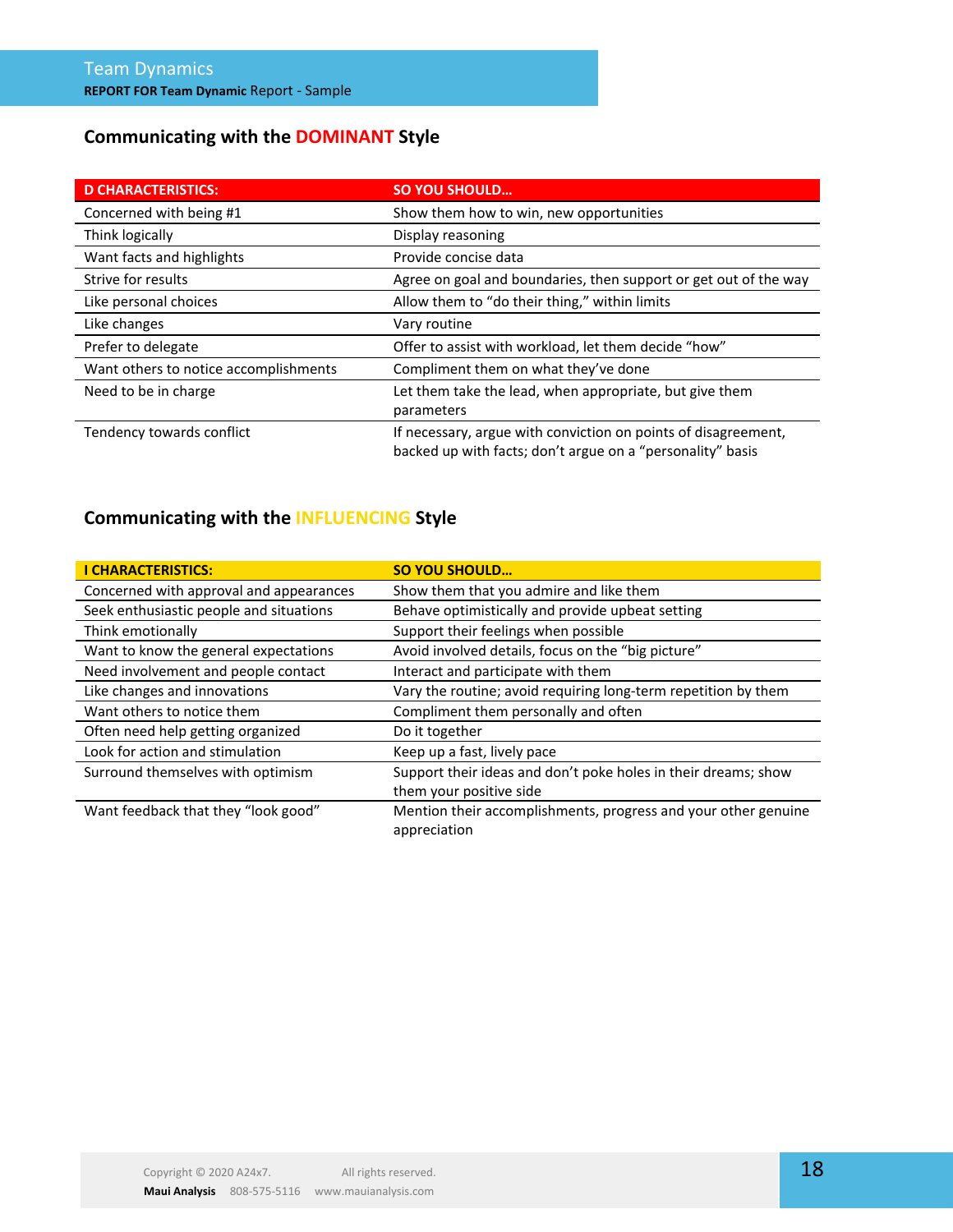### **Communicating with the DOMINANT Style**

| <b>D CHARACTERISTICS:</b>             | <b>SO YOU SHOULD</b>                                                                                                         |
|---------------------------------------|------------------------------------------------------------------------------------------------------------------------------|
| Concerned with being #1               | Show them how to win, new opportunities                                                                                      |
| Think logically                       | Display reasoning                                                                                                            |
| Want facts and highlights             | Provide concise data                                                                                                         |
| Strive for results                    | Agree on goal and boundaries, then support or get out of the way                                                             |
| Like personal choices                 | Allow them to "do their thing," within limits                                                                                |
| Like changes                          | Vary routine                                                                                                                 |
| Prefer to delegate                    | Offer to assist with workload, let them decide "how"                                                                         |
| Want others to notice accomplishments | Compliment them on what they've done                                                                                         |
| Need to be in charge                  | Let them take the lead, when appropriate, but give them                                                                      |
|                                       | parameters                                                                                                                   |
| Tendency towards conflict             | If necessary, argue with conviction on points of disagreement,<br>backed up with facts; don't argue on a "personality" basis |

# **Communicating with the INFLUENCING Style**

| I CHARACTERISTICS:                      | <b>SO YOU SHOULD</b>                                           |
|-----------------------------------------|----------------------------------------------------------------|
| Concerned with approval and appearances | Show them that you admire and like them                        |
| Seek enthusiastic people and situations | Behave optimistically and provide upbeat setting               |
| Think emotionally                       | Support their feelings when possible                           |
| Want to know the general expectations   | Avoid involved details, focus on the "big picture"             |
| Need involvement and people contact     | Interact and participate with them                             |
| Like changes and innovations            | Vary the routine; avoid requiring long-term repetition by them |
| Want others to notice them              | Compliment them personally and often                           |
| Often need help getting organized       | Do it together                                                 |
| Look for action and stimulation         | Keep up a fast, lively pace                                    |
| Surround themselves with optimism       | Support their ideas and don't poke holes in their dreams; show |
|                                         | them your positive side                                        |
| Want feedback that they "look good"     | Mention their accomplishments, progress and your other genuine |
|                                         | appreciation                                                   |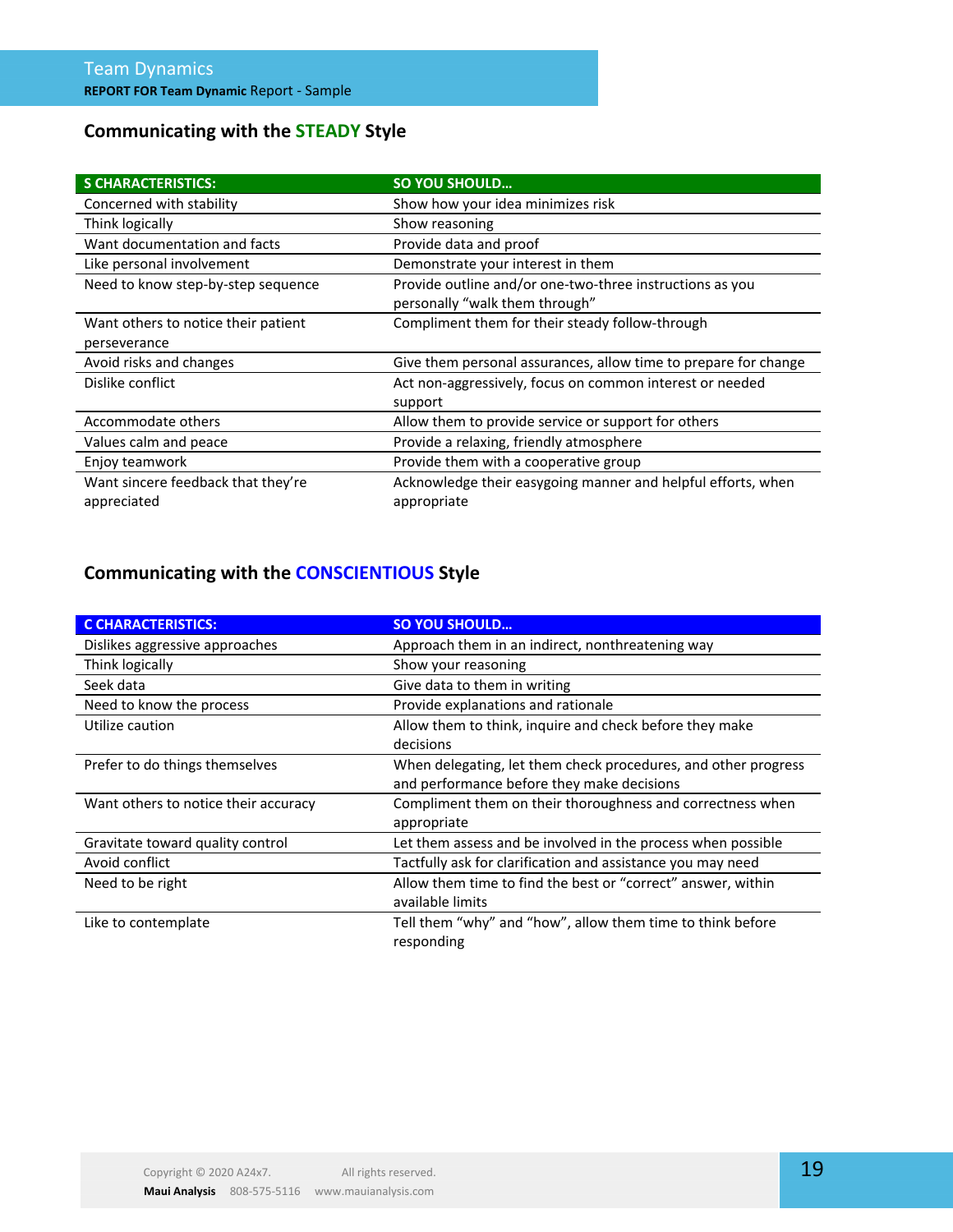## **Communicating with the STEADY Style**

| <b>S CHARACTERISTICS:</b>           | SO YOU SHOULD                                                   |
|-------------------------------------|-----------------------------------------------------------------|
| Concerned with stability            | Show how your idea minimizes risk                               |
| Think logically                     | Show reasoning                                                  |
| Want documentation and facts        | Provide data and proof                                          |
| Like personal involvement           | Demonstrate your interest in them                               |
| Need to know step-by-step sequence  | Provide outline and/or one-two-three instructions as you        |
|                                     | personally "walk them through"                                  |
| Want others to notice their patient | Compliment them for their steady follow-through                 |
| perseverance                        |                                                                 |
| Avoid risks and changes             | Give them personal assurances, allow time to prepare for change |
| Dislike conflict                    | Act non-aggressively, focus on common interest or needed        |
|                                     | support                                                         |
| Accommodate others                  | Allow them to provide service or support for others             |
| Values calm and peace               | Provide a relaxing, friendly atmosphere                         |
| Enjoy teamwork                      | Provide them with a cooperative group                           |
| Want sincere feedback that they're  | Acknowledge their easygoing manner and helpful efforts, when    |
| appreciated                         | appropriate                                                     |

### **Communicating with the CONSCIENTIOUS Style**

| <b>C CHARACTERISTICS:</b>            | <b>SO YOU SHOULD</b>                                           |
|--------------------------------------|----------------------------------------------------------------|
| Dislikes aggressive approaches       | Approach them in an indirect, nonthreatening way               |
| Think logically                      | Show your reasoning                                            |
| Seek data                            | Give data to them in writing                                   |
| Need to know the process             | Provide explanations and rationale                             |
| Utilize caution                      | Allow them to think, inquire and check before they make        |
|                                      | decisions                                                      |
| Prefer to do things themselves       | When delegating, let them check procedures, and other progress |
|                                      | and performance before they make decisions                     |
| Want others to notice their accuracy | Compliment them on their thoroughness and correctness when     |
|                                      | appropriate                                                    |
| Gravitate toward quality control     | Let them assess and be involved in the process when possible   |
| Avoid conflict                       | Tactfully ask for clarification and assistance you may need    |
| Need to be right                     | Allow them time to find the best or "correct" answer, within   |
|                                      | available limits                                               |
| Like to contemplate                  | Tell them "why" and "how", allow them time to think before     |
|                                      | responding                                                     |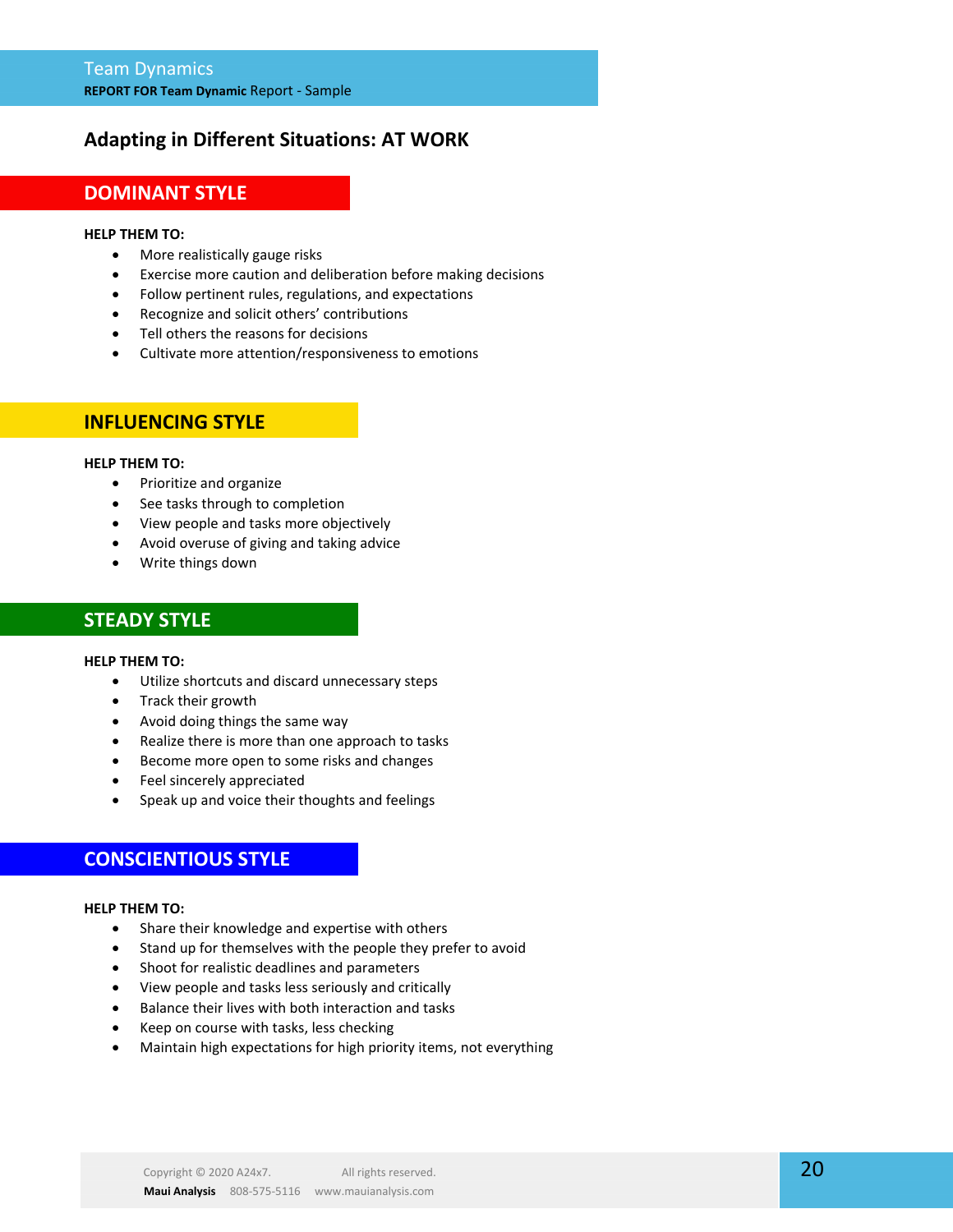### **Adapting in Different Situations: AT WORK**

### **DOMINANT STYLE**

#### **HELP THEM TO:**

- More realistically gauge risks
- Exercise more caution and deliberation before making decisions
- Follow pertinent rules, regulations, and expectations
- Recognize and solicit others' contributions
- Tell others the reasons for decisions
- Cultivate more attention/responsiveness to emotions

#### **INFLUENCING STYLE**

#### **HELP THEM TO:**

- Prioritize and organize
- See tasks through to completion
- View people and tasks more objectively
- Avoid overuse of giving and taking advice
- Write things down

### **STEADY STYLE**

#### **HELP THEM TO:**

- Utilize shortcuts and discard unnecessary steps
- Track their growth
- Avoid doing things the same way
- Realize there is more than one approach to tasks
- **Become more open to some risks and changes**
- Feel sincerely appreciated
- Speak up and voice their thoughts and feelings

#### **CONSCIENTIOUS STYLE**

#### **HELP THEM TO:**

- Share their knowledge and expertise with others
- Stand up for themselves with the people they prefer to avoid
- Shoot for realistic deadlines and parameters
- View people and tasks less seriously and critically
- Balance their lives with both interaction and tasks
- Keep on course with tasks, less checking
- Maintain high expectations for high priority items, not everything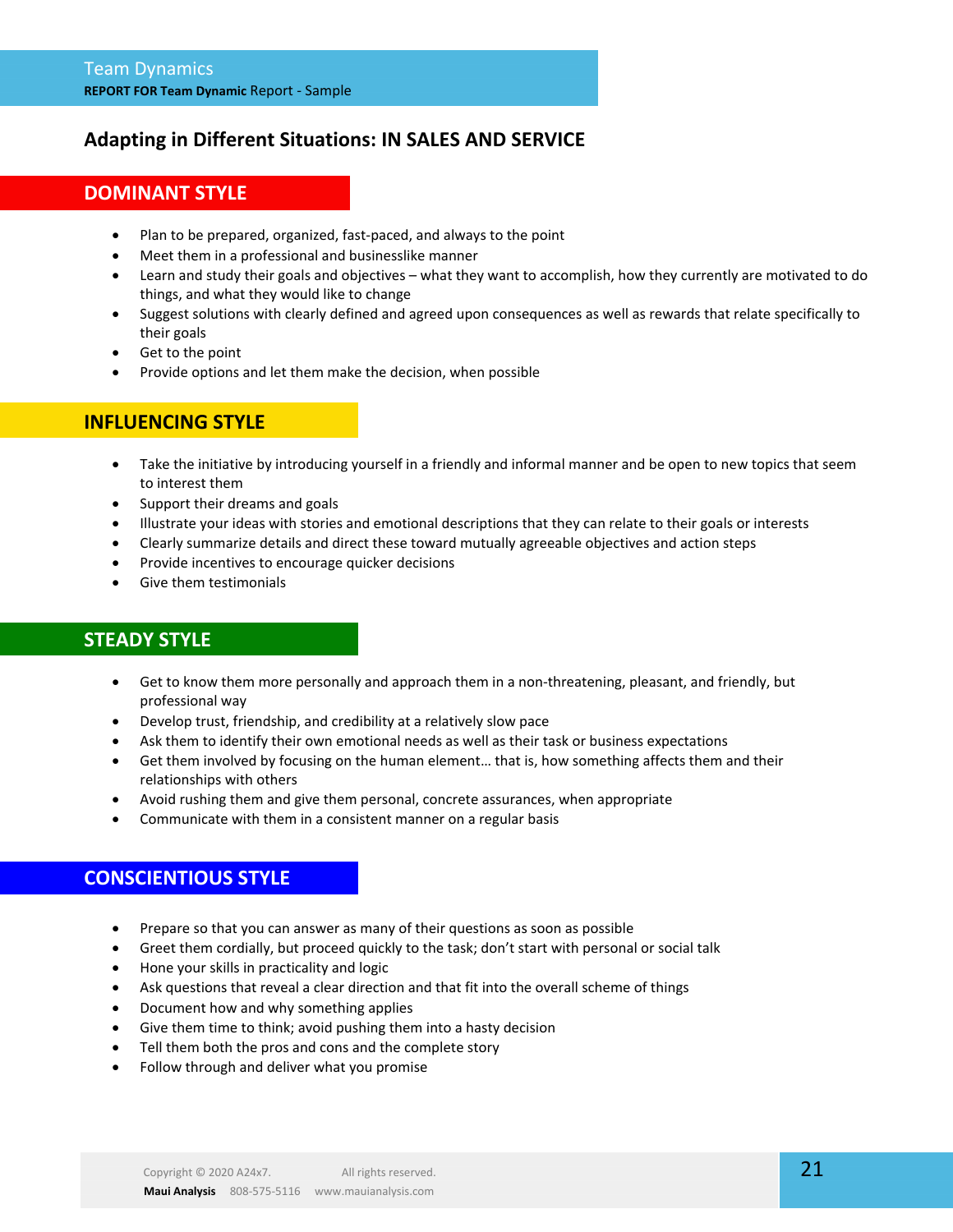### **Adapting in Different Situations: IN SALES AND SERVICE**

### **DOMINANT STYLE**

- Plan to be prepared, organized, fast-paced, and always to the point
- Meet them in a professional and businesslike manner
- Learn and study their goals and objectives what they want to accomplish, how they currently are motivated to do things, and what they would like to change
- Suggest solutions with clearly defined and agreed upon consequences as well as rewards that relate specifically to their goals
- Get to the point
- Provide options and let them make the decision, when possible

### **INFLUENCING STYLE**

- Take the initiative by introducing yourself in a friendly and informal manner and be open to new topics that seem to interest them
- Support their dreams and goals
- Illustrate your ideas with stories and emotional descriptions that they can relate to their goals or interests
- Clearly summarize details and direct these toward mutually agreeable objectives and action steps
- Provide incentives to encourage quicker decisions
- Give them testimonials

### **STEADY STYLE**

- Get to know them more personally and approach them in a non-threatening, pleasant, and friendly, but professional way
- Develop trust, friendship, and credibility at a relatively slow pace
- Ask them to identify their own emotional needs as well as their task or business expectations
- Get them involved by focusing on the human element… that is, how something affects them and their relationships with others
- Avoid rushing them and give them personal, concrete assurances, when appropriate
- Communicate with them in a consistent manner on a regular basis

### **CONSCIENTIOUS STYLE**

- Prepare so that you can answer as many of their questions as soon as possible
- Greet them cordially, but proceed quickly to the task; don't start with personal or social talk
- Hone your skills in practicality and logic
- Ask questions that reveal a clear direction and that fit into the overall scheme of things
- Document how and why something applies
- Give them time to think; avoid pushing them into a hasty decision
- Tell them both the pros and cons and the complete story
- Follow through and deliver what you promise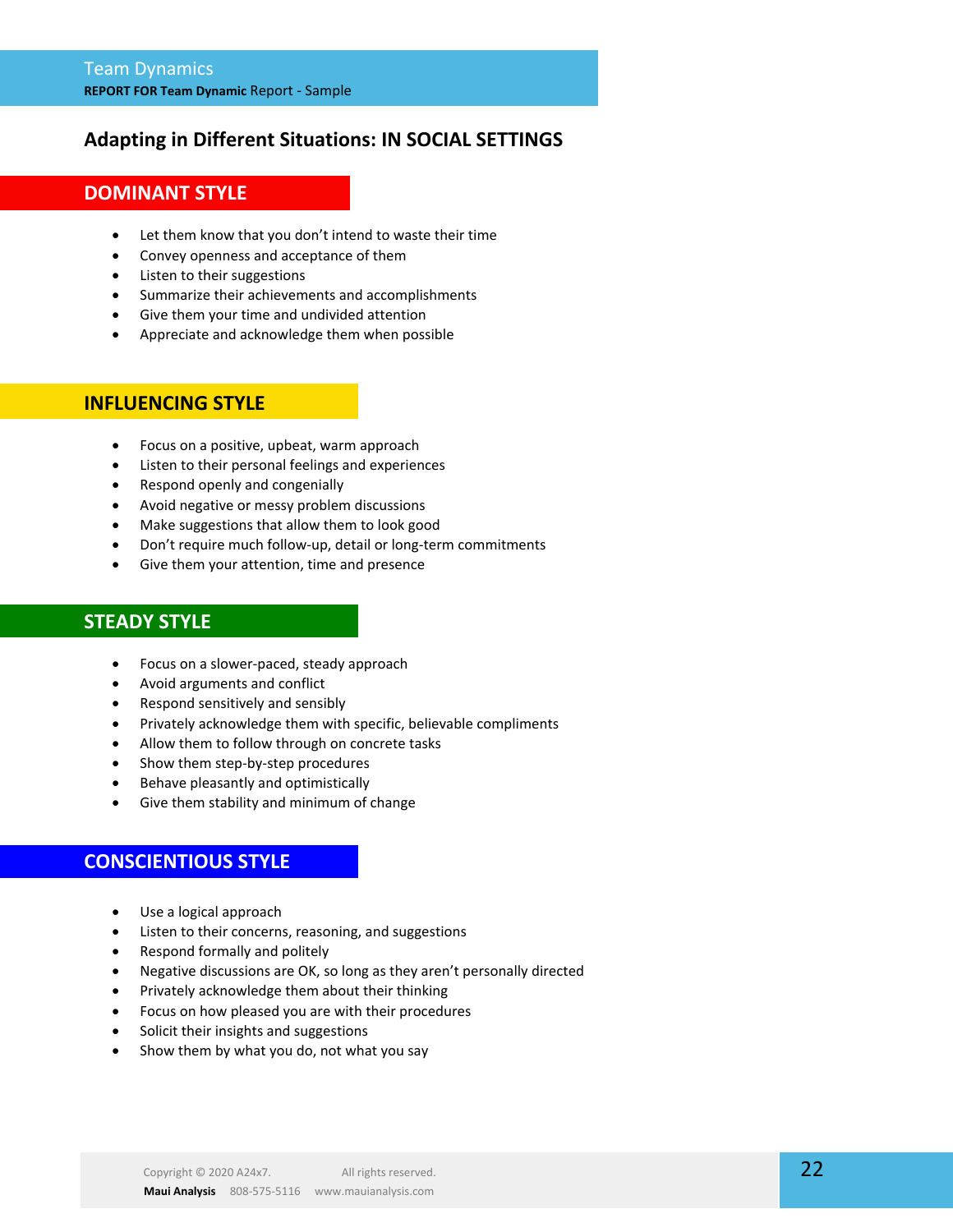### **Adapting in Different Situations: IN SOCIAL SETTINGS**

### **DOMINANT STYLE**

- Let them know that you don't intend to waste their time
- Convey openness and acceptance of them
- Listen to their suggestions
- Summarize their achievements and accomplishments
- Give them your time and undivided attention
- Appreciate and acknowledge them when possible

### **INFLUENCING STYLE**

- Focus on a positive, upbeat, warm approach
- Listen to their personal feelings and experiences
- Respond openly and congenially
- Avoid negative or messy problem discussions
- Make suggestions that allow them to look good
- Don't require much follow-up, detail or long-term commitments
- Give them your attention, time and presence

### **STEADY STYLE**

- Focus on a slower-paced, steady approach
- Avoid arguments and conflict
- Respond sensitively and sensibly
- Privately acknowledge them with specific, believable compliments
- Allow them to follow through on concrete tasks
- Show them step-by-step procedures
- Behave pleasantly and optimistically
- Give them stability and minimum of change

### **CONSCIENTIOUS STYLE**

- Use a logical approach
- Listen to their concerns, reasoning, and suggestions
- Respond formally and politely
- Negative discussions are OK, so long as they aren't personally directed
- Privately acknowledge them about their thinking
- Focus on how pleased you are with their procedures
- Solicit their insights and suggestions
- Show them by what you do, not what you say